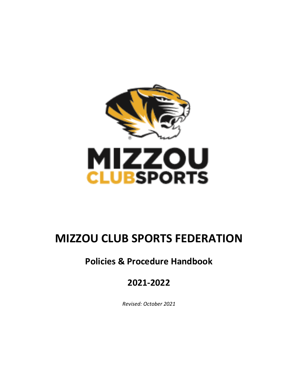

# **MIZZOU CLUB SPORTS FEDERATION**

# **Policies & Procedure Handbook**

# **2021-2022**

*Revised: October 2021*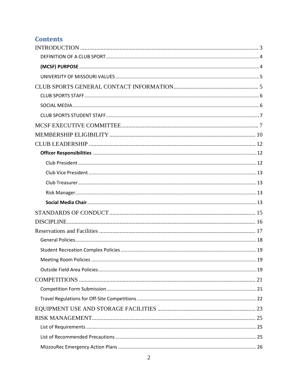# **Contents**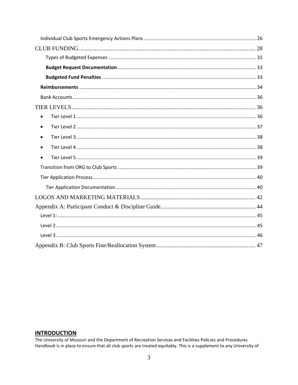| $\bullet$ |  |
|-----------|--|
|           |  |
|           |  |
| $\bullet$ |  |
|           |  |
|           |  |
|           |  |
|           |  |
|           |  |
|           |  |
|           |  |
|           |  |
|           |  |
|           |  |

# <span id="page-2-0"></span>**INTRODUCTION**

The University of Missouri and the Department of Recreation Services and Facilities Policies and Procedures Handbook is in place to ensure that all club sports are treated equitably. This is a supplement to any University of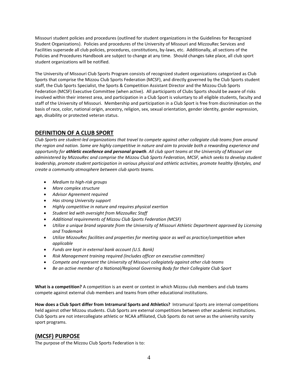Missouri student policies and procedures (outlined for student organizations in the Guidelines for Recognized Student Organizations). Policies and procedures of the University of Missouri and MizzouRec Services and Facilities supersede all club policies, procedures, constitutions, by-laws, etc. Additionally, all sections of the Policies and Procedures Handbook are subject to change at any time. Should changes take place, all club sport student organizations will be notified.

The University of Missouri Club Sports Program consists of recognized student organizations categorized as Club Sports that comprise the Mizzou Club Sports Federation (MCSF), and directly governed by the Club Sports student staff, the Club Sports Specialist, the Sports & Competition Assistant Director and the Mizzou Club Sports Federation (MCSF) Executive Committee (when active). All participants of Clubs Sports should be aware of risks involved within their interest area, and participation in a Club Sport is voluntary to all eligible students, faculty and staff of the University of Missouri. Membership and participation in a Club Sport is free from discrimination on the basis of race, color, national origin, ancestry, religion, sex, sexual orientation, gender identity, gender expression, age, disability or protected veteran status.

# <span id="page-3-0"></span>**DEFINITION OF A CLUB SPORT**

*Club Sports are student-led organizations that travel to compete against other collegiate club teams from around the region and nation. Some are highly competitive in nature and aim to provide both a rewarding experience and opportunity for athletic excellence and personal growth. All club sport teams at the University of Missouri are administered by MizzouRec and comprise the Mizzou Club Sports Federation, MCSF, which seeks to develop student leadership, promote student participation in various physical and athletic activities, promote healthy lifestyles, and create a community atmosphere between club sports teams.*

- *Medium to high-risk groups*
- *More complex structure*
- *Advisor Agreement required*
- *Has strong University support*
- *Highly competitive in nature and requires physical exertion*
- *Student led with oversight from MizzouRec Staff*
- *Additional requirements of Mizzou Club Sports Federation (MCSF)*
- *Utilize a unique brand separate from the University of Missouri Athletic Department approved by Licensing and Trademark*
- *Utilize MizzouRec facilities and properties for meeting space as well as practice/competition when applicable*
- *Funds are kept in external bank account (U.S. Bank)*
- *Risk Management training required (Includes officer on executive committee)*
- *Compete and represent the University of Missouri collegiately against other club teams*
- *Be an active member of a National/Regional Governing Body for their Collegiate Club Sport*

**What is a competition?** A competition is an event or contest in which Mizzou club members and club teams compete against external club members and teams from other educational institutions.

**How does a Club Sport differ from Intramural Sports and Athletics?** Intramural Sports are internal competitions held against other Mizzou students. Club Sports are external competitions between other academic institutions. Club Sports are not intercollegiate athletic or NCAA affiliated, Club Sports do not serve as the university varsity sport programs.

# <span id="page-3-1"></span>**(MCSF) PURPOSE**

The purpose of the Mizzou Club Sports Federation is to: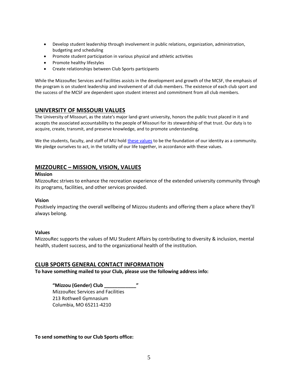- Develop student leadership through involvement in public relations, organization, administration, budgeting and scheduling
- Promote student participation in various physical and athletic activities
- Promote healthy lifestyles
- Create relationships between Club Sports participants

While the MizzouRec Services and Facilities assists in the development and growth of the MCSF, the emphasis of the program is on student leadership and involvement of all club members. The existence of each club sport and the success of the MCSF are dependent upon student interest and commitment from all club members.

# <span id="page-4-0"></span>**UNIVERSITY OF MISSOURI VALUES**

The University of Missouri, as the state's major land-grant university, honors the public trust placed in it and accepts the associated accountability to the people of Missouri for its stewardship of that trust. Our duty is to acquire, create, transmit, and preserve knowledge, and to promote understanding.

We the students, faculty, and staff of MU hold [these values](https://missouri.edu/mission-values) to be the foundation of our identity as a community. We pledge ourselves to act, in the totality of our life together, in accordance with these values.

# **MIZZOUREC – MISSION, VISION, VALUES**

#### **Mission**

MizzouRec strives to enhance the recreation experience of the extended university community through its programs, facilities, and other services provided.

#### **Vision**

Positively impacting the overall wellbeing of Mizzou students and offering them a place where they'll always belong.

#### **Values**

MizzouRec supports the values of MU Student Affairs by contributing to diversity & inclusion, mental health, student success, and to the organizational health of the institution.

# <span id="page-4-1"></span>**CLUB SPORTS GENERAL CONTACT INFORMATION**

**To have something mailed to your Club, please use the following address info:**

**"Mizzou (Gender) Club \_\_\_\_\_\_\_\_\_\_\_\_"** MizzouRec Services and Facilities 213 Rothwell Gymnasium Columbia, MO 65211-4210

**To send something to our Club Sports office:**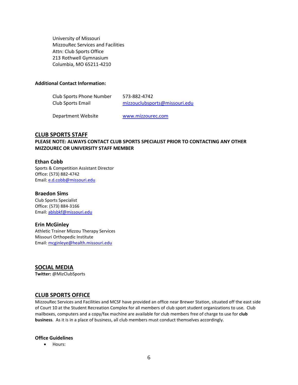University of Missouri MizzouRec Services and Facilities Attn: Club Sports Office 213 Rothwell Gymnasium Columbia, MO 65211-4210

#### **Additional Contact Information:**

| Club Sports Phone Number | 573-882-4742                  |
|--------------------------|-------------------------------|
| Club Sports Email        | mizzouclubsports@missouri.edu |

Department Website **[www.mizzourec.com](http://www.mizzourec.com/)** 

#### <span id="page-5-0"></span>**CLUB SPORTS STAFF**

#### **PLEASE NOTE: ALWAYS CONTACT CLUB SPORTS SPECIALIST PRIOR TO CONTACTING ANY OTHER MIZZOUREC OR UNIVERSITY STAFF MEMBER**

#### **Ethan Cobb**

Sports & Competition Assistant Director Office: (573) 882-4742 Email: [e.d.cobb@missouri.edu](mailto:e.d.cobb@missouri.edu)

#### **Braedon Sims**

Club Sports Specialist Office: (573) 884-3166 Email: [ablsbkf@missouri.edu](mailto:ablsbkf@missouri.edu)

#### **Erin McGinley**

Athletic Trainer Mizzou Therapy Services Missouri Orthopedic Institute Email: [mcginleye@health.missouri.edu](mailto:mcginleye@health.missouri.edu)

<span id="page-5-1"></span>**SOCIAL MEDIA Twitter:** @MizClubSports

#### **CLUB SPORTS OFFICE**

MizzouRec Services and Facilities and MCSF have provided an office near Brewer Station, situated off the east side of Court 10 at the Student Recreation Complex for all members of club sport student organizations to use. Club mailboxes, computers and a copy/fax machine are available for club members free of charge to use for **club business**. As it is in a place of business, all club members must conduct themselves accordingly.

#### **Office Guidelines**

• Hours: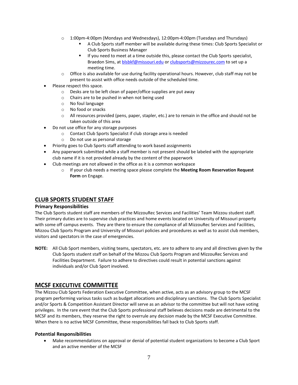- $\circ$  1:00pm-4:00pm (Mondays and Wednesdays), 12:00pm-4:00pm (Tuesdays and Thursdays)
	- A Club Sports staff member will be available during these times: Club Sports Specialist or Club Sports Business Manager
	- If you need to meet at a time outside this, please contact the Club Sports specialist, Braedon Sims, a[t blsbkf@missouri.edu](mailto:blsbkf@missouri.edu) o[r clubsports@mizzourec.com](mailto:clubsports@mizzourec.com) to set up a meeting time.
- $\circ$  Office is also available for use during facility operational hours. However, club staff may not be present to assist with office needs outside of the scheduled time.
- Please respect this space.
	- o Desks are to be left clean of paper/office supplies are put away
	- o Chairs are to be pushed in when not being used
	- o No foul language
	- o No food or snacks
	- $\circ$  All resources provided (pens, paper, stapler, etc.) are to remain in the office and should not be taken outside of this area
- Do not use office for any storage purposes
	- o Contact Club Sports Specialist if club storage area is needed
	- o Do not use as personal storage
- Priority goes to Club Sports staff attending to work based assignments
- Any paperwork submitted while a staff member is not present should be labeled with the appropriate club name if it is not provided already by the content of the paperwork
- Club meetings are not allowed in the office as it is a common workspace
	- o If your club needs a meeting space please complete the **Meeting Room Reservation Request Form** on Engage.

# <span id="page-6-0"></span>**CLUB SPORTS STUDENT STAFF**

#### **Primary Responsibilities**

The Club Sports student staff are members of the MizzouRec Services and Facilities' Team Mizzou student staff. Their primary duties are to supervise club practices and home events located on University of Missouri property with some off campus events. They are there to ensure the compliance of all MizzouRec Services and Facilities, Mizzou Club Sports Program and University of Missouri policies and procedures as well as to assist club members, visitors and spectators in the case of emergencies.

**NOTE:** All Club Sport members, visiting teams, spectators, etc. are to adhere to any and all directives given by the Club Sports student staff on behalf of the Mizzou Club Sports Program and MizzouRec Services and Facilities Department. Failure to adhere to directives could result in potential sanctions against individuals and/or Club Sport involved.

# <span id="page-6-1"></span>**MCSF EXECUTIVE COMMITTEE**

The Mizzou Club Sports Federation Executive Committee, when active, acts as an advisory group to the MCSF program performing various tasks such as budget allocations and disciplinary sanctions. The Club Sports Specialist and/or Sports & Competition Assistant Director will serve as an advisor to the committee but will not have voting privileges. In the rare event that the Club Sports professional staff believes decisions made are detrimental to the MCSF and its members, they reserve the right to overrule any decision made by the MCSF Executive Committee. When there is no active MCSF Committee, these responsibilities fall back to Club Sports staff.

#### **Potential Responsibilities**

• Make recommendations on approval or denial of potential student organizations to become a Club Sport and an active member of the MCSF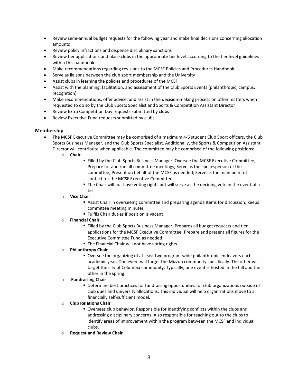- Review semi-annual budget requests for the following year and make final decisions concerning allocation amounts
- Review policy infractions and dispense disciplinary sanctions
- Review tier applications and place clubs in the appropriate tier level according to the tier level guidelines within this handbook
- Make recommendations regarding revisions to the MCSF Policies and Procedures Handbook
- Serve as liaisons between the club sport membership and the University
- Assist clubs in learning the policies and procedures of the MCSF
- Assist with the planning, facilitation, and assessment of the Club Sports Events (philanthropic, campus, recognition)
- Make recommendations, offer advice, and assist in the decision-making process on other matters when requested to do so by the Club Sports Specialist and Sports & Competition Assistant Director
- Review Extra Competition Day requests submitted by clubs
- Review Executive Fund requests submitted by clubs

#### **Membership**

- The MCSF Executive Committee may be comprised of a maximum 4-6 student Club Sport officers, the Club Sports Business Manager, and the Club Sports Specialist. Additionally, the Sports & Competition Assistant Director will contribute when applicable. The committee may be comprised of the following positions:
	- o **Chair**
		- Filled by the Club Sports Business Manager; Oversee the MCSF Executive Committee; Prepare for and run all committee meetings; Serve as the spokesperson of the committee; Present on behalf of the MCSF as needed; Serve as the main point of contact for the MCSF Executive Committee
		- **The Chair will not have voting rights but will serve as the deciding vote in the event of a** tie
	- o **Vice Chair**
		- **EXEC** Assist Chair in overseeing committee and preparing agenda items for discussion; keeps committee meeting minutes
		- **EXECUTE:** Fulfils Chair duties if position is vacant
	- o **Financial Chair**
		- Filled by the Club Sports Business Manager; Prepares all budget requests and tier applications for the MCSF Executive Committee; Prepare and present all figures for the Executive Committee Fund as needed
		- The Financial Chair will not have voting rights
	- o **Philanthropy Chair**
		- Oversee the organizing of at least two program-wide philanthropic endeavors each academic year. One event will target the Mizzou community specifically. The other will target the city of Columbia community. Typically, one event is hosted in the fall and the other in the spring.
	- o **Fundraising Chair**
		- **Determine best practices for fundraising opportunities for club organizations outside of** club dues and university allocations. This individual will help organizations move to a financially self-sufficient model.
	- o **Club Relations Chair**
		- Oversees club behavior. Responsible for identifying conflicts within the clubs and addressing disciplinary concerns. Also responsible for reaching out to the clubs to identify areas of improvement within the program between the MCSF and individual clubs.
	- o **Request and Review Chair**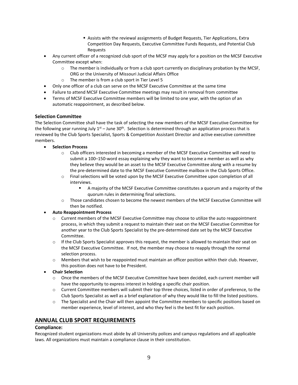- **EXECT** Assists with the reviewal assignments of Budget Requests, Tier Applications, Extra Competition Day Requests, Executive Committee Funds Requests, and Potential Club Requests
- Any current officer of a recognized club sport of the MCSF may apply for a position on the MCSF Executive Committee except when:
	- $\circ$  The member is individually or from a club sport currently on disciplinary probation by the MCSF, ORG or the University of Missouri Judicial Affairs Office
	- o The member is from a club sport in Tier Level 5
- Only one officer of a club can serve on the MCSF Executive Committee at the same time
- Failure to attend MCSF Executive Committee meetings may result in removal from committee
- Terms of MCSF Executive Committee members will be limited to one year, with the option of an automatic reappointment, as described below.

#### **Selection Committee**

The Selection Committee shall have the task of selecting the new members of the MCSF Executive Committee for the following year running July 1<sup>st</sup> – June 30<sup>th</sup>. Selection is determined through an application process that is reviewed by the Club Sports Specialist, Sports & Competition Assistant Director and active executive committee members.

- **Selection Process**
	- o Club officers interested in becoming a member of the MCSF Executive Committee will need to submit a 100–150-word essay explaining why they want to become a member as well as why they believe they would be an asset to the MCSF Executive Committee along with a resume by the pre-determined date to the MCSF Executive Committee mailbox in the Club Sports Office.
	- o Final selections will be voted upon by the MCSF Executive Committee upon completion of all interviews.
		- A majority of the MCSF Executive Committee constitutes a quorum and a majority of the quorum rules in determining final selections.
	- o Those candidates chosen to become the newest members of the MCSF Executive Committee will then be notified.

#### • **Auto Reappointment Process**

- o Current members of the MCSF Executive Committee may choose to utilize the auto reappointment process, in which they submit a request to maintain their seat on the MCSF Executive Committee for another year to the Club Sports Specialist by the pre-determined date set by the MCSF Executive Committee.
- $\circ$  If the Club Sports Specialist approves this request, the member is allowed to maintain their seat on the MCSF Executive Committee. If not, the member may choose to reapply through the normal selection process.
- $\circ$  Members that wish to be reappointed must maintain an officer position within their club. However, this position does not have to be President.
- **Chair Selection**
	- $\circ$  Once the members of the MCSF Executive Committee have been decided, each current member will have the opportunity to express interest in holding a specific chair position.
	- $\circ$  Current Committee members will submit their top three choices, listed in order of preference, to the Club Sports Specialist as well as a brief explanation of why they would like to fill the listed positions.
	- $\circ$  The Specialist and the Chair will then appoint the Committee members to specific positions based on member experience, level of interest, and who they feel is the best fit for each position.

#### **ANNUAL CLUB SPORT REQUIREMENTS**

#### **Compliance:**

Recognized student organizations must abide by all University polices and campus regulations and all applicable laws. All organizations must maintain a compliance clause in their constitution.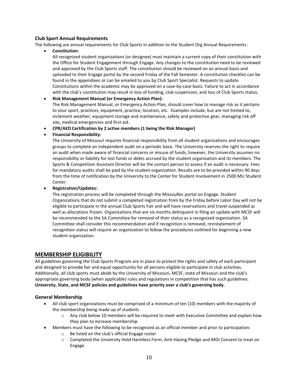#### **Club Sport Annual Requirements**

The following are annual requirements for Club Sports in addition to the Student Org Annual Requirements:

• **Constitution:**

All recognized student organizations (or designee) must maintain a current copy of their constitution with the Office for Student Engagement through Engage. Any changes to the constitution need to be reviewed and approved by the Club Sports staff. The constitution should be reviewed on an annual basis and uploaded to their Engage portal by the second Friday of the Fall Semester. A constitution checklist can be found in the appendixes or can be emailed to you by Club Sport Specialist. Requests to update Constitutions within the academic may be approved on a case-by-case basis. Failure to act in accordance with the club's constitution may result in loss of funding, club suspension, and loss of Club Sports status.

- **Risk Management Manual (or Emergency Action Plan):** The Risk Management Manual, or Emergency Action Plan, should cover how to manage risk as it pertains to your sport, practices, equipment, practice, location, etc. Examples include, but are not limited to, inclement weather, equipment storage and maintenance, safety and protective gear, managing risk off site, medical emergencies and first aid.
- **CPR/AED Certification by 2 active members (1 being the Risk Manager)**
- **Financial Responsibility:**

The University of Missouri requires financial responsibility from all student organizations and encourages groups to complete an independent audit on a periodic basis. The University reserves the right to require an audit when made aware of financial concerns or misuse of funds, however, the University assumes no responsibility or liability for lost funds or debts accrued by the student organization and its members. The Sports & Competition Assistant Director will be the contact person to assess if an audit is necessary. Fees for mandatory audits shall be paid by the student organization. Results are to be provided within 90 days from the time of notification by the University to the Center for Student Involvement in 2500 MU Student Center.

#### • **Registration/Updates:**

The registration process will be completed through the MizzouRec portal on Engage. Student Organizations that do not submit a completed registration from by the Friday before Labor Day will not be eligible to participate in the annual Club Sports Fair and will have reservations and travel suspended as well as allocations frozen. Organizations that are six months delinquent in filing an update with MCSF will be recommended to the SA Committee for removal of their status as a recognized organization. SA Committee shall consider this recommendation and if recognition is removed, reinstatement of recognition status will require an organization to follow the procedures outlined for beginning a new student organization.

# <span id="page-9-0"></span>**MEMBERSHIP ELIGIBILITY**

All guidelines governing the Club Sports Program are in place to protect the rights and safety of each participant and designed to provide fair and equal opportunity for all persons eligible to participate in club activities. Additionally, all club sports must abide by the University of Missouri, MCSF, state of Missouri and the club's appropriate governing body (when applicable) rules and regulations in competition that has such guidelines. **University, State, and MCSF policies and guidelines have priority over a club's governing body.** 

#### **General Membership**

- All club sport organizations must be comprised of a minimum of ten (10) members with the majority of the membership being made up of students
	- o Any club below 10 members will be required to meet with Executive Committee and explain how they plan to increase membership
	- Members must have the following to be recognized as an official member and prior to participation:
		- o Be listed on the club's official Engage roster
		- o Completed the University Hold Harmless Form, Anti-Hazing Pledge and MOI Consent to treat on Engage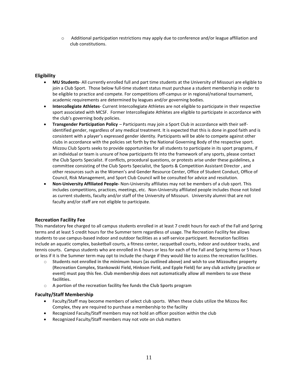$\circ$  Additional participation restrictions may apply due to conference and/or league affiliation and club constitutions.

#### **Eligibility**

- **MU Students** All currently enrolled full and part time students at the University of Missouri are eligible to join a Club Sport. Those below full-time student status must purchase a student membership in order to be eligible to practice and compete. For competitions off-campus or in regional/national tournament, academic requirements are determined by leagues and/or governing bodies.
- **Intercollegiate Athletes** Current Intercollegiate Athletes are not eligible to participate in their respective sport associated with MCSF. Former Intercollegiate Athletes are eligible to participate in accordance with the club's governing body policies.
- **Transgender Participation Policy** Participants may join a Sport Club in accordance with their selfidentified gender, regardless of any medical treatment. It is expected that this is done in good faith and is consistent with a player's expressed gender identity. Participants will be able to compete against other clubs in accordance with the policies set forth by the National Governing Body of the respective sport. Mizzou Club Sports seeks to provide opportunities for all students to participate in its sport programs, if an individual or team is unsure of how participants fit into the framework of any sports, please contact the Club Sports Specialist. If conflicts, procedural questions, or protests arise under these guidelines, a committee consisting of the Club Sports Specialist, the Sports & Competition Assistant Director , and other resources such as the Women's and Gender Resource Center, Office of Student Conduct, Office of Council, Risk Management, and Sport Club Council will be consulted for advice and resolution.
- **Non-University Affiliated People-** Non-University affiliates may not be members of a club sport. This includes competitions, practices, meetings, etc. Non-University affiliated people includes those not listed as current students, faculty and/or staff of the University of Missouri. University alumni that are not faculty and/or staff are not eligible to participate.

#### **Recreation Facility Fee**

This mandatory fee charged to all campus students enrolled in at least 7 credit hours for each of the Fall and Spring terms and at least 5 credit hours for the Summer term regardless of usage. The Recreation Facility fee allows students to use campus-based indoor and outdoor facilities as a self-service participant. Recreation facilities include an aquatic complex, basketball courts, a fitness center, racquetball courts, indoor and outdoor tracks, and tennis courts. Campus students who are enrolled in 6 hours or less for each of the Fall and Spring terms or 5 hours or less if it is the Summer term may opt to include the charge if they would like to access the recreation facilities.

- o **Students not enrolled in the minimum hours (as outlined above) and wish to use MizzouRec property (Recreation Complex, Stankowski Field, Hinkson Field, and Epple Field) for any club activity (practice or event) must pay this fee. Club membership does not automatically allow all members to use these facilities.**
- o **A portion of the recreation facility fee funds the Club Sports program**

#### **Faculty/Staff Membership**

- Faculty/Staff may become members of select club sports. When these clubs utilize the Mizzou Rec Complex, they are required to purchase a membership to the facility
- Recognized Faculty/Staff members may not hold an officer position within the club
- Recognized Faculty/Staff members may not vote on club matters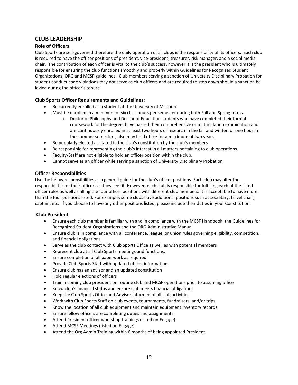# <span id="page-11-0"></span>**CLUB LEADERSHIP**

#### **Role of Officers**

Club Sports are self-governed therefore the daily operation of all clubs is the responsibility of its officers. Each club is required to have the officer positions of president, vice-president, treasurer, risk manager, and a social media chair. The contribution of each officer is vital to the club's success, however it is the president who is ultimately responsible for ensuring the club functions smoothly and properly within Guidelines for Recognized Student Organizations, ORG and MCSF guidelines. Club members serving a sanction of University Disciplinary Probation for student conduct code violations may not serve as club officers and are required to step down should a sanction be levied during the officer's tenure.

#### **Club Sports Officer Requirements and Guidelines:**

- Be currently enrolled as a student at the University of Missouri
- Must be enrolled in a minimum of six class hours per semester during both Fall and Spring terms.
	- $\circ$  Doctor of Philosophy and Doctor of Education students who have completed their formal coursework for the degree, have passed their comprehensive or matriculation examination and are continuously enrolled in at least two hours of research in the fall and winter, or one hour in the summer semesters, also may hold office for a maximum of two years.
- Be popularly elected as stated in the club's constitution by the club's members
- Be responsible for representing the club's interest in all matters pertaining to club operations.
- Faculty/Staff are not eligible to hold an officer position within the club.
- Cannot serve as an officer while serving a sanction of University Disciplinary Probation

#### <span id="page-11-1"></span>**Officer Responsibilities**

Use the below responsibilities as a general guide for the club's officer positions. Each club may alter the responsibilities of their officers as they see fit. However, each club is responsible for fulfilling each of the listed officer roles as well as filling the four officer positions with different club members. It is acceptable to have more than the four positions listed. For example, some clubs have additional positions such as secretary, travel chair, captain, etc. If you choose to have any other positions listed, please include their duties in your Constitution.

#### <span id="page-11-2"></span>**Club President**

- Ensure each club member is familiar with and in compliance with the MCSF Handbook, the Guidelines for Recognized Student Organizations and the ORG Administrative Manual
- Ensure club is in compliance with all conference, league, or union rules governing eligibility, competition, and financial obligations
- Serve as the club contact with Club Sports Office as well as with potential members
- Represent club at all Club Sports meetings and functions.
- Ensure completion of all paperwork as required
- Provide Club Sports Staff with updated officer information
- Ensure club has an advisor and an updated constitution
- Hold regular elections of officers
- Train incoming club president on routine club and MCSF operations prior to assuming office
- Know club's financial status and ensure club meets financial obligations
- Keep the Club Sports Office and Advisor informed of all club activities
- Work with Club Sports Staff on club events, tournaments, fundraisers, and/or trips
- Know the location of all club equipment and maintain equipment inventory records
- Ensure fellow officers are completing duties and assignments
- Attend President officer workshop trainings (listed on Engage)
- Attend MCSF Meetings (listed on Engage)
- Attend the Org Admin Training within 6 months of being appointed President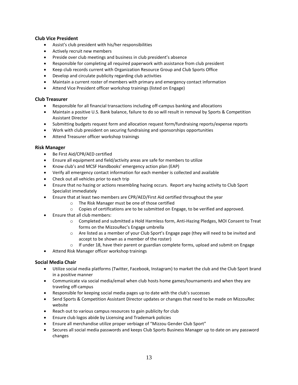#### <span id="page-12-0"></span>**Club Vice President**

- Assist's club president with his/her responsibilities
- Actively recruit new members
- Preside over club meetings and business in club president's absence
- Responsible for completing all required paperwork with assistance from club president
- Keep club records current with Organization Resource Group and Club Sports Office
- Develop and circulate publicity regarding club activities
- Maintain a current roster of members with primary and emergency contact information
- Attend Vice President officer workshop trainings (listed on Engage)

#### <span id="page-12-1"></span>**Club Treasurer**

- Responsible for all financial transactions including off-campus banking and allocations
- Maintain a positive U.S. Bank balance, failure to do so will result in removal by Sports & Competition Assistant Director
- Submitting budgets request form and allocation request form/fundraising reports/expense reports
- Work with club president on securing fundraising and sponsorships opportunities
- Attend Treasurer officer workshop trainings

#### <span id="page-12-2"></span>**Risk Manager**

- Be First Aid/CPR/AED certified
- Ensure all equipment and field/activity areas are safe for members to utilize
- Know club's and MCSF Handbooks' emergency action plan (EAP)
- Verify all emergency contact information for each member is collected and available
- Check out all vehicles prior to each trip
- Ensure that no hazing or actions resembling hazing occurs. Report any hazing activity to Club Sport Specialist immediately
- Ensure that at least two members are CPR/AED/First Aid certified throughout the year
	- o The Risk Manager must be one of those certified
	- o Copies of certifications are to be submitted on Engage, to be verified and approved.
- Ensure that all club members:
	- o Completed and submitted a Hold Harmless form, Anti-Hazing Pledges, MOI Consent to Treat forms on the MizzouRec's Engage umbrella
	- o Are listed as a member of your Club Sport's Engage page (they will need to be invited and accept to be shown as a member of the roster)
	- $\circ$  If under 18, have their parent or guardian complete forms, upload and submit on Engage
- Attend Risk Manager officer workshop trainings

# <span id="page-12-3"></span>**Social Media Chair**

- Utilize social media platforms (Twitter, Facebook, Instagram) to market the club and the Club Sport brand in a positive manner
- Communicate via social media/email when club hosts home games/tournaments and when they are traveling off-campus
- Responsible for keeping social media pages up to date with the club's successes
- Send Sports & Competition Assistant Director updates or changes that need to be made on MizzouRec website
- Reach out to various campus resources to gain publicity for club
- Ensure club logos abide by Licensing and Trademark policies
- Ensure all merchandise utilize proper verbiage of "Mizzou Gender Club Sport"
- Secures all social media passwords and keeps Club Sports Business Manager up to date on any password changes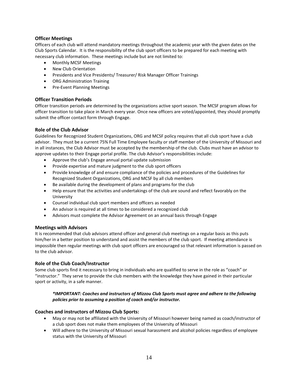#### **Officer Meetings**

Officers of each club will attend mandatory meetings throughout the academic year with the given dates on the Club Sports Calendar. It is the responsibility of the club sport officers to be prepared for each meeting with necessary club information. These meetings include but are not limited to:

- Monthly MCSF Meetings
- New Club Orientation
- Presidents and Vice Presidents/ Treasurer/ Risk Manager Officer Trainings
- ORG Administration Training
- Pre-Event Planning Meetings

#### **Officer Transition Periods**

Officer transition periods are determined by the organizations active sport season. The MCSF program allows for officer transition to take place in March every year. Once new officers are voted/appointed, they should promptly submit the officer contact form through Engage.

#### **Role of the Club Advisor**

Guidelines for Recognized Student Organizations, ORG and MCSF policy requires that all club sport have a club advisor. They must be a current 75% Full Time Employee faculty or staff member of the University of Missouri and in all instances, the Club Advisor must be accepted by the membership of the club. Clubs must have an advisor to approve updates to their Engage portal profile. The club Advisor's responsibilities include:

- Approve the club's Engage annual portal update submission
- Provide expertise and mature judgment to the club sport officers
- Provide knowledge of and ensure compliance of the policies and procedures of the Guidelines for Recognized Student Organizations, ORG and MCSF by all club members
- Be available during the development of plans and programs for the club
- Help ensure that the activities and undertakings of the club are sound and reflect favorably on the University
- Counsel individual club sport members and officers as needed
- An advisor is required at all times to be considered a recognized club
- Advisors must complete the Advisor Agreement on an annual basis through Engage

#### **Meetings with Advisors**

It is recommended that club advisors attend officer and general club meetings on a regular basis as this puts him/her in a better position to understand and assist the members of the club sport. If meeting attendance is impossible then regular meetings with club sport officers are encouraged so that relevant information is passed on to the club advisor.

#### **Role of the Club Coach/Instructor**

Some club sports find it necessary to bring in individuals who are qualified to serve in the role as "coach" or "instructor." They serve to provide the club members with the knowledge they have gained in their particular sport or activity, in a safe manner.

#### *\*IMPORTANT: Coaches and instructors of Mizzou Club Sports must agree and adhere to the following policies prior to assuming a position of coach and/or instructor.*

#### **Coaches and instructors of Mizzou Club Sports:**

- May or may not be affiliated with the University of Missouri however being named as coach/instructor of a club sport does not make them employees of the University of Missouri
- Will adhere to the University of Missouri sexual harassment and alcohol policies regardless of employee status with the University of Missouri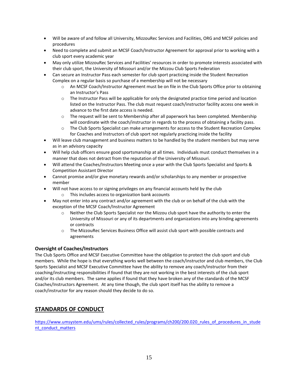- Will be aware of and follow all University, MizzouRec Services and Facilities, ORG and MCSF policies and procedures
- Need to complete and submit an MCSF Coach/Instructor Agreement for approval prior to working with a club sport every academic year
- May only utilize MizzouRec Services and Facilities' resources in order to promote interests associated with their club sport, the University of Missouri and/or the Mizzou Club Sports Federation
- Can secure an Instructor Pass each semester for club sport practicing inside the Student Recreation Complex on a regular basis so purchase of a membership will not be necessary
	- o An MCSF Coach/Instructor Agreement must be on file in the Club Sports Office prior to obtaining an Instructor's Pass
	- o The Instructor Pass will be applicable for only the designated practice time period and location listed on the Instructor Pass. The club must request coach/instructor facility access one week in advance to the first date access is needed.
	- $\circ$  The request will be sent to Membership after all paperwork has been completed. Membership will coordinate with the coach/instructor in regards to the process of obtaining a facility pass.
	- o The Club Sports Specialist can make arrangements for access to the Student Recreation Complex for Coaches and Instructors of club sport not regularly practicing inside the facility
- Will leave club management and business matters to be handled by the student members but may serve as in an advisory capacity
- Will help club officers ensure good sportsmanship at all times. Individuals must conduct themselves in a manner that does not detract from the reputation of the University of Missouri.
- Will attend the Coaches/Instructors Meeting once a year with the Club Sports Specialist and Sports & Competition Assistant Director
- Cannot promise and/or give monetary rewards and/or scholarships to any member or prospective member
- Will not have access to or signing privileges on any financial accounts held by the club
	- o This includes access to organization bank accounts
- May not enter into any contract and/or agreement with the club or on behalf of the club with the exception of the MCSF Coach/Instructor Agreement
	- $\circ$  Neither the Club Sports Specialist nor the Mizzou club sport have the authority to enter the University of Missouri or any of its departments and organizations into any binding agreements or contracts
	- o The MizzouRec Services Business Office will assist club sport with possible contracts and agreements

#### **Oversight of Coaches/Instructors**

The Club Sports Office and MCSF Executive Committee have the obligation to protect the club sport and club members. While the hope is that everything works well between the coach/instructor and club members, the Club Sports Specialist and MCSF Executive Committee have the ability to remove any coach/instructor from their coaching/instructing responsibilities if found that they are not working in the best interests of the club sport and/or its club members. The same applies if found that they have broken any of the standards of the MCSF Coaches/Instructors Agreement. At any time though, the club sport itself has the ability to remove a coach/instructor for any reason should they decide to do so.

# <span id="page-14-0"></span>**STANDARDS OF CONDUCT**

[https://www.umsystem.edu/ums/rules/collected\\_rules/programs/ch200/200.020\\_rules\\_of\\_procedures\\_in\\_stude](https://www.umsystem.edu/ums/rules/collected_rules/programs/ch200/200.020_rules_of_procedures_in_student_conduct_matters) [nt\\_conduct\\_matters](https://www.umsystem.edu/ums/rules/collected_rules/programs/ch200/200.020_rules_of_procedures_in_student_conduct_matters)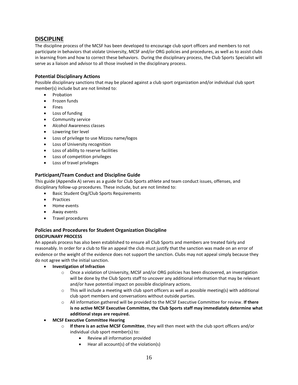### <span id="page-15-0"></span>**DISCIPLINE**

The discipline process of the MCSF has been developed to encourage club sport officers and members to not participate in behaviors that violate University, MCSF and/or ORG policies and procedures, as well as to assist clubs in learning from and how to correct these behaviors. During the disciplinary process, the Club Sports Specialist will serve as a liaison and advisor to all those involved in the disciplinary process.

#### **Potential Disciplinary Actions**

Possible disciplinary sanctions that may be placed against a club sport organization and/or individual club sport member(s) include but are not limited to:

- Probation
- Frozen funds
- Fines
- Loss of funding
- Community service
- Alcohol Awareness classes
- Lowering tier level
- Loss of privilege to use Mizzou name/logos
- Loss of University recognition
- Loss of ability to reserve facilities
- Loss of competition privileges
- Loss of travel privileges

#### **Participant/Team Conduct and Discipline Guide**

This guide (Appendix A) serves as a guide for Club Sports athlete and team conduct issues, offenses, and disciplinary follow-up procedures. These include, but are not limited to:

- Basic Student Org/Club Sports Requirements
- Practices
- Home events
- Away events
- Travel procedures

#### **Policies and Procedures for Student Organization Discipline DISCIPLINARY PROCESS**

An appeals process has also been established to ensure all Club Sports and members are treated fairly and reasonably. In order for a club to file an appeal the club must justify that the sanction was made on an error of evidence or the weight of the evidence does not support the sanction. Clubs may not appeal simply because they do not agree with the initial sanction.

- **Investigation of Infraction**
	- o Once a violation of University, MCSF and/or ORG policies has been discovered, an investigation will be done by the Club Sports staff to uncover any additional information that may be relevant and/or have potential impact on possible disciplinary actions.
	- $\circ$  This will include a meeting with club sport officers as well as possible meeting(s) with additional club sport members and conversations without outside parties.
	- o All information gathered will be provided to the MCSF Executive Committee for review. **If there is no active MCSF Executive Committee, the Club Sports staff may immediately determine what additional steps are required.**
- **MCSF Executive Committee Hearing**
	- o **If there is an active MCSF Committee**, they will then meet with the club sport officers and/or individual club sport member(s) to:
		- Review all information provided
		- Hear all account(s) of the violation(s)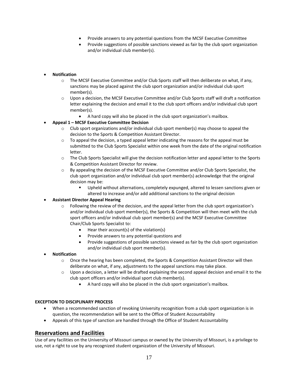- Provide answers to any potential questions from the MCSF Executive Committee
- Provide suggestions of possible sanctions viewed as fair by the club sport organization and/or individual club member(s).

#### • **Notification**

- o The MCSF Executive Committee and/or Club Sports staff will then deliberate on what, if any, sanctions may be placed against the club sport organization and/or individual club sport member(s).
- $\circ$  Upon a decision, the MCSF Executive Committee and/or Club Sports staff will draft a notification letter explaining the decision and email it to the club sport officers and/or individual club sport member(s).
	- A hard copy will also be placed in the club sport organization's mailbox.

#### • **Appeal 1 – MCSF Executive Committee Decision**

- $\circ$  Club sport organizations and/or individual club sport member(s) may choose to appeal the decision to the Sports & Competition Assistant Director.
- $\circ$  To appeal the decision, a typed appeal letter indicating the reasons for the appeal must be submitted to the Club Sports Specialist within one week from the date of the original notification letter.
- o The Club Sports Specialist will give the decision notification letter and appeal letter to the Sports & Competition Assistant Director for review.
- o By appealing the decision of the MCSF Executive Committee and/or Club Sports Specialist, the club sport organization and/or individual club sport member(s) acknowledge that the original decision may be:
	- Upheld without alternations, completely expunged, altered to lessen sanctions given or altered to increase and/or add additional sanctions to the original decision

#### • **Assistant Director Appeal Hearing**

- o Following the review of the decision, and the appeal letter from the club sport organization's and/or individual club sport member(s), the Sports & Competition will then meet with the club sport officers and/or individual club sport member(s) and the MCSF Executive Committee Chair/Club Sports Specialist to:
	- Hear their account(s) of the violation(s)
	- Provide answers to any potential questions and
	- Provide suggestions of possible sanctions viewed as fair by the club sport organization and/or individual club sport member(s).

#### • **Notification**

- $\circ$  Once the hearing has been completed, the Sports & Competition Assistant Director will then deliberate on what, if any, adjustments to the appeal sanctions may take place.
- $\circ$  Upon a decision, a letter will be drafted explaining the second appeal decision and email it to the club sport officers and/or individual sport club member(s).
	- A hard copy will also be placed in the club sport organization's mailbox.

#### **EXCEPTION TO DISCIPLINARY PROCESS**

- When a recommended sanction of revoking University recognition from a club sport organization is in question, the recommendation will be sent to the Office of Student Accountability
- Appeals of this type of sanction are handled through the Office of Student Accountability

# <span id="page-16-0"></span>**Reservations and Facilities**

Use of any facilities on the University of Missouri campus or owned by the University of Missouri, is a privilege to use, not a right to use by any recognized student organization of the University of Missouri.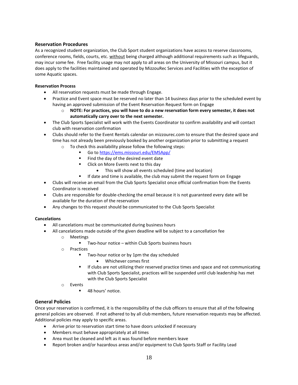#### **Reservation Procedures**

As a recognized student organization, the Club Sport student organizations have access to reserve classrooms, conference rooms, fields, courts, etc. without being charged although additional requirements such as lifeguards, may incur some fee. Free facility usage may not apply to all areas on the University of Missouri campus, but it does apply to the facilities maintained and operated by MizzouRec Services and Facilities with the exception of some Aquatic spaces.

#### **Reservation Process**

- All reservation requests must be made through Engage.
- Practice and Event space must be reserved no later than 14 business days prior to the scheduled event by having an approved submission of the Event Reservation Request form on Engage
	- o **NOTE: For practices, you will have to do a new reservation form every semester, it does not automatically carry over to the next semester.**
- The Club Sports Specialist will work with the Events Coordinator to confirm availability and will contact club with reservation confirmation
- Clubs should refer to the Event Rentals calendar on mizzourec.com to ensure that the desired space and time has not already been previously booked by another organization prior to submitting a request
	- o To check this availability please follow the following steps:
		- Go t[o https://ems.missouri.edu/EMSApp/](https://ems.missouri.edu/EMSApp/)
		- Find the day of the desired event date
		- Click on More Events next to this day
			- This will show all events scheduled (time and location)
		- **■** If date and time is available, the club may submit the request form on Engage
- Clubs will receive an email from the Club Sports Specialist once official confirmation from the Events Coordinator is received
- Clubs are responsible for double-checking the email because it is not guaranteed every date will be available for the duration of the reservation
- Any changes to this request should be communicated to the Club Sports Specialist

#### **Cancelations**

- All cancelations must be communicated during business hours
- All cancelations made outside of the given deadline will be subject to a cancellation fee
	- o Meetings
		- Two-hour notice within Club Sports business hours
	- o Practices
		- Two-hour notice or by 1pm the day scheduled
			- Whichever comes first
		- If clubs are not utilizing their reserved practice times and space and not communicating with Club Sports Specialist, practices will be suspended until club leadership has met with the Club Sports Specialist
	- o Events
		- 48 hours' notice.

#### <span id="page-17-0"></span>**General Policies**

Once your reservation is confirmed, it is the responsibility of the club officers to ensure that all of the following general policies are observed. If not adhered to by all club members, future reservation requests may be affected. Additional policies may apply to specific areas.

- Arrive prior to reservation start time to have doors unlocked if necessary
- Members must behave appropriately at all times
- Area must be cleaned and left as it was found before members leave
- Report broken and/or hazardous areas and/or equipment to Club Sports Staff or Facility Lead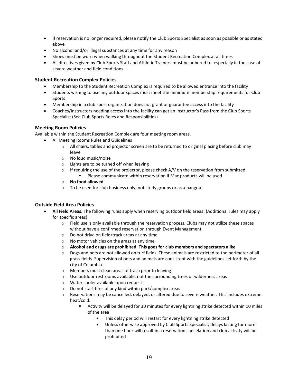- If reservation is no longer required, please notify the Club Sports Specialist as soon as possible or as stated above
- No alcohol and/or illegal substances at any time for any reason
- Shoes must be worn when walking throughout the Student Recreation Complex at all times
- All directives given by Club Sports Staff and Athletic Trainers must be adhered to, especially in the case of severe weather and field conditions

#### <span id="page-18-0"></span>**Student Recreation Complex Policies**

- Membership to the Student Recreation Complex is required to be allowed entrance into the facility
- Students wishing to use any outdoor spaces must meet the minimum membership requirements for Club Sports
- Membership in a club sport organization does not grant or guarantee access into the facility
- Coaches/Instructors needing access into the facility can get an Instructor's Pass from the Club Sports Specialist (See Club Sports Roles and Responsibilities)

#### <span id="page-18-1"></span>**Meeting Room Policies**

Available within the Student Recreation Complex are four meeting room areas.

- All Meeting Rooms Rules and Guidelines
	- $\circ$  All chairs, tables and projector screen are to be returned to original placing before club may leave
	- o No loud music/noise
	- o Lights are to be turned off when leaving
	- $\circ$  If requiring the use of the projector, please check A/V on the reservation from submitted. ■ Please communicate within reservation if Mac products will be used
	- o **No food allowed**
	- o To be used for club business only, not study groups or as a hangout

#### <span id="page-18-2"></span>**Outside Field Area Policies**

- **All Field Areas.** The following rules apply when reserving outdoor field areas: (Additional rules may apply for specific areas)
	- $\circ$  Field use is only available through the reservation process. Clubs may not utilize these spaces without have a confirmed reservation through Event Management.
	- o Do not drive on field/track areas at any time
	- o No motor vehicles on the grass at any time
	- o **Alcohol and drugs are prohibited. This goes for club members and spectators alike**
	- $\circ$  Dogs and pets are not allowed on turf fields. These animals are restricted to the perimeter of all grass fields. Supervision of pets and animals are consistent with the guidelines set forth by the city of Columbia.
	- o Members must clean areas of trash prior to leaving
	- $\circ$  Use outdoor restrooms available, not the surrounding trees or wilderness areas
	- o Water cooler available upon request
	- o Do not start fires of any kind within park/complex areas
	- o Reservations may be cancelled, delayed, or altered due to severe weather. This includes extreme heat/cold.
		- Activity will be delayed for 30 minutes for every lightning strike detected within 10 miles of the area
			- This delay period will restart for every lightning strike detected
			- Unless otherwise approved by Club Sports Specialist, delays lasting for more than one hour will result in a reservation cancelation and club activity will be prohibited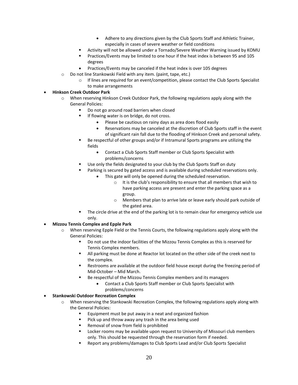- Adhere to any directions given by the Club Sports Staff and Athletic Trainer, especially in cases of severe weather or field conditions
- Activity will not be allowed under a Tornado/Severe Weather Warning issued by KOMU
- Practices/Events may be limited to one hour if the heat index is between 95 and 105 degrees
- Practices/Events may be canceled if the heat index is over 105 degrees
- o Do not line Stankowski Field with any item. (paint, tape, etc.)
	- o If lines are required for an event/competition, please contact the Club Sports Specialist to make arrangements

#### • **Hinkson Creek Outdoor Park**

- o When reserving Hinkson Creek Outdoor Park, the following regulations apply along with the General Policies:
	- Do not go around road barriers when closed
	- If flowing water is on bridge, do not cross.
		- Please be cautious on rainy days as area does flood easily
		- Reservations may be canceled at the discretion of Club Sports staff in the event of significant rain fall due to the flooding of Hinkson Creek and personal safety.
	- Be respectful of other groups and/or if Intramural Sports programs are utilizing the fields
		- Contact a Club Sports Staff member or Club Sports Specialist with problems/concerns
	- Use only the fields designated to your club by the Club Sports Staff on duty
	- Parking is secured by gated access and is available during scheduled reservations only.
		- This gate will only be opened during the scheduled reservation.
			- o It is the club's responsibility to ensure that all members that wish to have parking access are present and enter the parking space as a group.
			- o Members that plan to arrive late or leave early should park outside of the gated area.
	- The circle drive at the end of the parking lot is to remain clear for emergency vehicle use only.

#### • **Mizzou Tennis Complex and Epple Park**

- o When reserving Epple Field or the Tennis Courts, the following regulations apply along with the General Policies:
	- Do not use the indoor facilities of the Mizzou Tennis Complex as this is reserved for Tennis Complex members.
	- All parking must be done at Reactor lot located on the other side of the creek next to the complex.
	- Restrooms are available at the outdoor field house except during the freezing period of Mid-October – Mid March.
	- Be respectful of the Mizzou Tennis Complex members and its managers
		- Contact a Club Sports Staff member or Club Sports Specialist with problems/concerns

#### • **Stankowski Outdoor Recreation Complex**

- o When reserving the Stankowski Recreation Complex, the following regulations apply along with the General Policies:
	- Equipment must be put away in a neat and organized fashion
	- Pick up and throw away any trash in the area being used
	- Removal of snow from field is prohibited
	- **EXECT** Locker rooms may be available upon request to University of Missouri club members only. This should be requested through the reservation form if needed.
	- Report any problems/damages to Club Sports Lead and/or Club Sports Specialist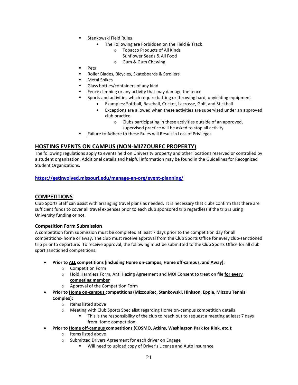- Stankowski Field Rules
	- The Following are Forbidden on the Field & Track
		- o Tobacco Products of All Kinds
			- Sunflower Seeds & All Food
		- o Gum & Gum Chewing
- Pets
- Roller Blades, Bicycles, Skateboards & Strollers
- **Metal Spikes**
- Glass bottles/containers of any kind
- Fence climbing or any activity that may damage the fence
- Sports and activities which require batting or throwing hard, unyielding equipment
	- Examples: Softball, Baseball, Cricket, Lacrosse, Golf, and Stickball
	- Exceptions are allowed when these activities are supervised under an approved club practice
		- o Clubs participating in these activities outside of an approved,
			- supervised practice will be asked to stop all activity
- Failure to Adhere to these Rules will Result in Loss of Privileges

# **HOSTING EVENTS ON CAMPUS (NON-MIZZOUREC PROPERTY)**

The following regulations apply to events held on University property and other locations reserved or controlled by a student organization. Additional details and helpful information may be found in the [Guidelines](https://mbook.missouri.edu/) for Recognized Student Organizations.

#### **<https://getinvolved.missouri.edu/manage-an-org/event-planning/>**

#### <span id="page-20-0"></span>**COMPETITIONS**

Club Sports Staff can assist with arranging travel plans as needed. It is necessary that clubs confirm that there are sufficient funds to cover all travel expenses prior to each club sponsored trip regardless if the trip is using University funding or not.

#### <span id="page-20-1"></span>**Competition Form Submission**

A competition form submission must be completed at least 7 days prior to the competition day for all competitions- home or away. The club must receive approval from the Club Sports Office for every club-sanctioned trip prior to departure. To receive approval, the following must be submitted to the Club Sports Office for all club sport sanctioned competitions.

- **Prior to ALL competitions (including Home on-campus, Home off-campus, and Away):**
	- o Competition Form
	- o Hold Harmless Form, Anti Hazing Agreement and MOI Consent to treat on file **for every competing member**
	- o Approval of the Competition Form
- **Prior to Home on-campus competitions (MizzouRec, Stankowski, Hinkson, Epple, Mizzou Tennis Complex):**
	- o Items listed above
	- o Meeting with Club Sports Specialist regarding Home on-campus competition details
		- This is the responsibility of the club to reach out to request a meeting at least 7 days from Home competition.
- **Prior to Home off-campus competitions (COSMO, Atkins, Washington Park Ice Rink, etc.):**
	- o Items listed above
	- o Submitted Drivers Agreement for each driver on Engage
		- Will need to upload copy of Driver's License and Auto Insurance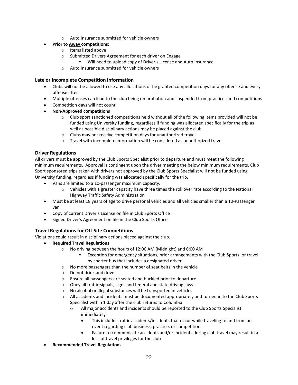o Auto Insurance submitted for vehicle owners

#### • **Prior to Away competitions:**

- o Items listed above
- o Submitted Drivers Agreement for each driver on Engage
	- Will need to upload copy of Driver's License and Auto Insurance
- o Auto Insurance submitted for vehicle owners

#### **Late or Incomplete Competition Information**

- Clubs will not be allowed to use any allocations or be granted competition days for any offense and every offense after
- Multiple offenses can lead to the club being on probation and suspended from practices and competitions
- Competition days will not count
- **Non-Approved competitions**
	- o Club sport sanctioned competitions held without all of the following items provided will not be funded using University funding, regardless if funding was allocated specifically for the trip as well as possible disciplinary actions may be placed against the club
	- o Clubs may not receive competition days for unauthorized travel
	- $\circ$  Travel with incomplete information will be considered as unauthorized travel

#### **Driver Regulations**

All drivers must be approved by the Club Sports Specialist prior to departure and must meet the following minimum requirements. Approval is contingent upon the driver meeting the below minimum requirements. Club Sport sponsored trips taken with drivers not approved by the Club Sports Specialist will not be funded using University funding, regardless if funding was allocated specifically for the trip.

- Vans are limited to a 10-passenger maximum capacity.
	- o Vehicles with a greater capacity have three times the roll over rate according to the National Highway Traffic Safety Administration
- Must be at least 18 years of age to drive personal vehicles and all vehicles smaller than a 10-Passenger van
- Copy of current Driver's License on file in Club Sports Office
- Signed Driver's Agreement on file in the Club Sports Office

# <span id="page-21-0"></span>**Travel Regulations for Off-Site Competitions**

Violations could result in disciplinary actions placed against the club.

- **Required Travel Regulations**
	- o No driving between the hours of 12:00 AM (Midnight) and 6:00 AM
		- Exception for emergency situations, prior arrangements with the Club Sports, or travel by charter bus that includes a designated driver
	- o No more passengers than the number of seat belts in the vehicle
	- o Do not drink and drive
	- o Ensure all passengers are seated and buckled prior to departure
	- o Obey all traffic signals, signs and federal and state driving laws
	- o No alcohol or illegal substances will be transported in vehicles
	- o All accidents and incidents must be documented appropriately and turned in to the Club Sports Specialist within 1 day after the club returns to Columbia
		- $\circ$  All major accidents and incidents should be reported to the Club Sports Specialist immediately
			- This includes traffic accidents/incidents that occur while traveling to and from an event regarding club business, practice, or competition
			- Failure to communicate accidents and/or incidents during club travel may result in a loss of travel privileges for the club
- **Recommended Travel Regulations**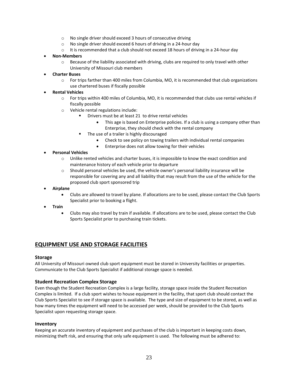- o No single driver should exceed 3 hours of consecutive driving
- o No single driver should exceed 6 hours of driving in a 24-hour day
- $\circ$  It is recommended that a club should not exceed 18 hours of driving in a 24-hour day

#### • **Non-Members**

- $\circ$  Because of the liability associated with driving, clubs are required to only travel with other University of Missouri club members
- **Charter Buses**
	- o For trips farther than 400 miles from Columbia, MO, it is recommended that club organizations use chartered buses if fiscally possible

#### • **Rental Vehicles**

- o For trips within 400 miles of Columbia, MO, it is recommended that clubs use rental vehicles if fiscally possible
- o Vehicle rental regulations include:
	- Drivers must be at least 21 to drive rental vehicles
		- This age is based on Enterprise policies. If a club is using a company other than Enterprise, they should check with the rental company
	- The use of a trailer is highly discouraged
		- Check to see policy on towing trailers with individual rental companies
		- Enterprise does not allow towing for their vehicles

#### • **Personal Vehicles**

- $\circ$  Unlike rented vehicles and charter buses, it is impossible to know the exact condition and maintenance history of each vehicle prior to departure
- $\circ$  Should personal vehicles be used, the vehicle owner's personal liability insurance will be responsible for covering any and all liability that may result from the use of the vehicle for the proposed club sport sponsored trip

#### • **Airplane**

- Clubs are allowed to travel by plane. If allocations are to be used, please contact the Club Sports Specialist prior to booking a flight.
- **Train**
	- Clubs may also travel by train if available. If allocations are to be used, please contact the Club Sports Specialist prior to purchasing train tickets.

# <span id="page-22-0"></span>**EQUIPMENT USE AND STORAGE FACILITIES**

#### **Storage**

All University of Missouri owned club sport equipment must be stored in University facilities or properties. Communicate to the Club Sports Specialist if additional storage space is needed.

#### **Student Recreation Complex Storage**

Even though the Student Recreation Complex is a large facility, storage space inside the Student Recreation Complex is limited. If a club sport wishes to house equipment in the facility, that sport club should contact the Club Sports Specialist to see if storage space is available. The type and size of equipment to be stored, as well as how many times the equipment will need to be accessed per week, should be provided to the Club Sports Specialist upon requesting storage space.

#### **Inventory**

Keeping an accurate inventory of equipment and purchases of the club is important in keeping costs down, minimizing theft risk, and ensuring that only safe equipment is used. The following must be adhered to: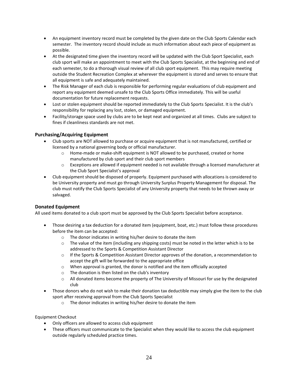- An equipment inventory record must be completed by the given date on the Club Sports Calendar each semester. The inventory record should include as much information about each piece of equipment as possible.
- At the designated time given the inventory record will be updated with the Club Sport Specialist, each club sport will make an appointment to meet with the Club Sports Specialist, at the beginning and end of each semester, to do a thorough visual review of all club sport equipment. This may require meeting outside the Student Recreation Complex at wherever the equipment is stored and serves to ensure that all equipment is safe and adequately maintained.
- The Risk Manager of each club is responsible for performing regular evaluations of club equipment and report any equipment deemed unsafe to the Club Sports Office immediately. This will be useful documentation for future replacement requests.
- Lost or stolen equipment should be reported immediately to the Club Sports Specialist. It is the club's responsibility for replacing any lost, stolen, or damaged equipment.
- Facility/storage space used by clubs are to be kept neat and organized at all times. Clubs are subject to fines if cleanliness standards are not met.

#### **Purchasing/Acquiring Equipment**

- Club sports are NOT allowed to purchase or acquire equipment that is not manufactured, certified or licensed by a national governing body or official manufacturer.
	- $\circ$  Home-made or make-shift equipment is NOT allowed to be purchased, created or home manufactured by club sport and their club sport members
	- $\circ$  Exceptions are allowed if equipment needed is not available through a licensed manufacturer at the Club Sport Specialist's approval
- Club equipment should be disposed of properly. Equipment purchased with allocations is considered to be University property and must go through University Surplus Property Management for disposal. The club must notify the Club Sports Specialist of any University property that needs to be thrown away or salvaged.

#### **Donated Equipment**

All used items donated to a club sport must be approved by the Club Sports Specialist before acceptance.

- Those desiring a tax deduction for a donated item (equipment, boat, etc.) must follow these procedures before the item can be accepted:
	- o The donor indicates in writing his/her desire to donate the item
	- o The value of the item (including any shipping costs) must be noted in the letter which is to be addressed to the Sports & Competition Assistant Director
	- $\circ$  If the Sports & Competition Assistant Director approves of the donation, a recommendation to accept the gift will be forwarded to the appropriate office
	- $\circ$  When approval is granted, the donor is notified and the item officially accepted
	- o The donation is then listed on the club's inventory
	- $\circ$  All donated items become the property of The University of Missouri for use by the designated club
- Those donors who do not wish to make their donation tax deductible may simply give the item to the club sport after receiving approval from the Club Sports Specialist
	- o The donor indicates in writing his/her desire to donate the item

#### Equipment Checkout

- Only officers are allowed to access club equipment
- These officers must communicate to the Specialist when they would like to access the club equipment outside regularly scheduled practice times.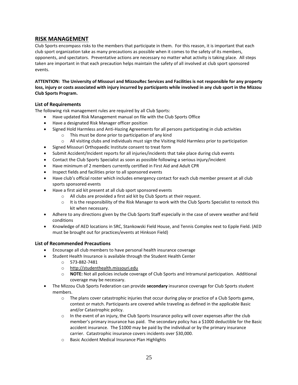# <span id="page-24-0"></span>**RISK MANAGEMENT**

Club Sports encompass risks to the members that participate in them. For this reason, it is important that each club sport organization take as many precautions as possible when it comes to the safety of its members, opponents, and spectators. Preventative actions are necessary no matter what activity is taking place. All steps taken are important in that each precaution helps maintain the safety of all involved at club sport sponsored events.

**ATTENTION: The University of Missouri and MizzouRec Services and Facilities is not responsible for any property loss, injury or costs associated with injury incurred by participants while involved in any club sport in the Mizzou Club Sports Program.**

#### <span id="page-24-1"></span>**List of Requirements**

The following risk management rules are required by all Club Sports:

- Have updated Risk Management manual on file with the Club Sports Office
- Have a designated Risk Manager officer position
- Signed Hold Harmless and Anti-Hazing Agreements for all persons participating in club activities
	- o This must be done prior to participation of any kind
	- $\circ$  All visiting clubs and individuals must sign the Visiting Hold Harmless prior to participation
- Signed Missouri Orthopaedic Institute consent to treat form
- Submit Accident/Incident reports for all injuries/incidents that take place during club events
- Contact the Club Sports Specialist as soon as possible following a serious injury/incident
- Have minimum of 2 members currently certified in First Aid and Adult CPR
- Inspect fields and facilities prior to all sponsored events
- Have club's official roster which includes emergency contact for each club member present at all club sports sponsored events
- Have a first aid kit present at all club sport sponsored events
	- o All clubs are provided a first aid kit by Club Sports at their request.
	- o It is the responsibility of the Risk Manager to work with the Club Sports Specialist to restock this kit when necessary.
- Adhere to any directions given by the Club Sports Staff especially in the case of severe weather and field conditions
- Knowledge of AED locations in SRC, Stankowski Field House, and Tennis Complex next to Epple Field. (AED must be brought out for practices/events at Hinkson Field)

#### <span id="page-24-2"></span>**List of Recommended Precautions**

- Encourage all club members to have personal health insurance coverage
- Student Health Insurance is available through the Student Health Center
	- o 573-882-7481
	- o [http://studenthealth.missouri.edu](http://studenthealth.missouri.edu/)
	- o **NOTE:** Not all policies include coverage of Club Sports and Intramural participation. Additional coverage may be necessary.
- The Mizzou Club Sports Federation can provide **secondary** insurance coverage for Club Sports student members.
	- $\circ$  The plans cover catastrophic injuries that occur during play or practice of a Club Sports game, contest or match. Participants are covered while traveling as defined in the applicable Basic and/or Catastrophic policy.
	- $\circ$  In the event of an injury, the Club Sports Insurance policy will cover expenses after the club member's primary insurance has paid. The secondary policy has a \$1000 deductible for the Basic accident insurance. The \$1000 may be paid by the individual or by the primary insurance carrier. Catastrophic insurance covers incidents over \$30,000.
	- o Basic Accident Medical Insurance Plan Highlights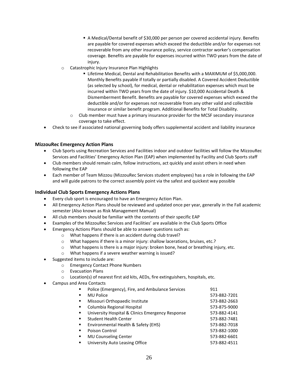- A Medical/Dental benefit of \$30,000 per person per covered accidental injury. Benefits are payable for covered expenses which exceed the deductible and/or for expenses not recoverable from any other insurance policy, service contractor worker's compensation coverage. Benefits are payable for expenses incurred within TWO years from the date of injury.
- o Catastrophic Injury Insurance Plan Highlights
	- **EXIMER Medical, Dental and Rehabilitation Benefits with a MAXIMUM of \$5,000,000.** Monthly Benefits payable if totally or partially disabled. A Covered Accident Deductible (as selected by school), for medical, dental or rehabilitation expenses which must be incurred within TWO years from the date of injury. \$10,000 Accidental Death & Dismemberment Benefit. Benefits are payable for covered expenses which exceed the deductible and/or for expenses not recoverable from any other valid and collectible insurance or similar benefit program. Additional Benefits for Total Disability.
	- $\circ$  Club member must have a primary insurance provider for the MCSF secondary insurance coverage to take effect.
- Check to see if associated national governing body offers supplemental accident and liability insurance

#### <span id="page-25-0"></span>**MizzouRec Emergency Action Plans**

- Club Sports using Recreation Services and Facilities indoor and outdoor facilities will follow the MizzouRec Services and Facilities' Emergency Action Plan (EAP) when implemented by Facility and Club Sports staff
- Club members should remain calm, follow instructions, act quickly and assist others in need when following the EAP
- Each member of Team Mizzou (MizzouRec Services student employees) has a role in following the EAP and will guide patrons to the correct assembly point via the safest and quickest way possible

#### <span id="page-25-1"></span>**Individual Club Sports Emergency Actions Plans**

- Every club sport is encouraged to have an Emergency Action Plan.
- All Emergency Action Plans should be reviewed and updated once per year, generally in the Fall academic semester (Also known as Risk Management Manual)
- All club members should be familiar with the contents of their specific EAP
- Examples of the MizzouRec Services and Facilities' are available in the Club Sports Office
- Emergency Actions Plans should be able to answer questions such as:
	- o What happens if there is an accident during club travel?
	- o What happens if there is a minor injury: shallow lacerations, bruises, etc.?
	- $\circ$  What happens is there is a major injury: broken bone, head or breathing injury, etc.
	- o What happens if a severe weather warning is issued?
- Suggested items to include are:
	- o Emergency Contact Phone Numbers
	- o Evacuation Plans
	- $\circ$  Location(s) of nearest first aid kits, AEDs, fire extinguishers, hospitals, etc.
- Campus and Area Contacts
	- Police (Emergency), Fire, and Ambulance Services 911
	- MU Police 573-882-7201 ▪ Missouri Orthopaedic Institute 573-882-2663 ■ Columbia Regional Hospital 573-875-9000 ■ University Hospital & Clinics Emergency Response 573-882-4141 ■ Student Health Center 573-882-7481 ■ Environmental Health & Safety (EHS) 573-882-7018 ■ Poison Control 573-882-1000 ▪ MU Counseling Center 573-882-6601 ■ University Auto Leasing Office 573-882-4511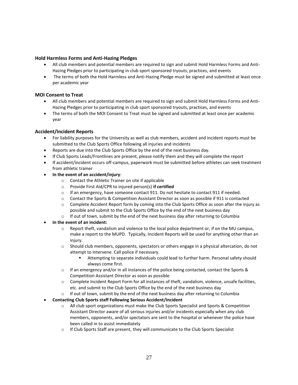#### **Hold Harmless Forms and Anti-Hazing Pledges**

- All club members and potential members are required to sign and submit Hold Harmless Forms and Anti-Hazing Pledges prior to participating in club sport sponsored tryouts, practices, and events
- The terms of both the Hold Harmless and Anti-Hazing Pledge must be signed and submitted at least once per academic year

#### **MOI Consent to Treat**

- All club members and potential members are required to sign and submit Hold Harmless Forms and Anti-Hazing Pledges prior to participating in club sport sponsored tryouts, practices, and events
- The terms of both the MOI Consent to Treat must be signed and submitted at least once per academic year

#### **Accident/Incident Reports**

- For liability purposes for the University as well as club members, accident and incident reports must be submitted to the Club Sports Office following all injuries and incidents
- Reports are due into the Club Sports Office by the end of the next business day.
- If Club Sports Leads/Frontlines are present, please notify them and they will complete the report
- If accident/incident occurs off-campus, paperwork must be submitted before athletes can seek treatment from athletic trainer
- **In the event of an accident/injury**:
	- o Contact the Athletic Trainer on site if applicable
	- o Provide First Aid/CPR to injured person(s) **if certified**
	- o If an emergency, have someone contact 911. Do not hesitate to contact 911 if needed.
	- o Contact the Sports & Competition Assistant Director as soon as possible if 911 is contacted
	- $\circ$  Complete Accident Report form by coming into the Club Sports Office as soon after the injury as possible and submit to the Club Sports Office by the end of the next business day
	- $\circ$  If out of town, submit by the end of the next business day after returning to Columbia
- **In the event of an incident:**
	- $\circ$  Report theft, vandalism and violence to the local police department or, if on the MU campus, make a report to the MUPD. Typically, Incident Reports will be used for anything other than an injury.
	- o Should club members, opponents, spectators or others engage in a physical altercation, do not attempt to intervene. Call police if necessary.
		- Attempting to separate individuals could lead to further harm. Personal safety should always come first.
	- $\circ$  If an emergency and/or in all instances of the police being contacted, contact the Sports & Competition Assistant Director as soon as possible
	- o Complete Incident Report Form for all instances of theft, vandalism, violence, unsafe facilities, etc. and submit to the Club Sports Office by the end of the next business day
	- $\circ$  If out of town, submit by the end of the next business day after returning to Columbia
- **Contacting Club Sports staff Following Serious Accident/Incident**
	- $\circ$  All club sport organizations must make the Club Sports Specialist and Sports & Competition Assistant Director aware of all serious injuries and/or incidents especially when any club members, opponents, and/or spectators are sent to the hospital or whenever the police have been called in to assist immediately
	- $\circ$  If Club Sports Staff are present, they will communicate to the Club Sports Specialist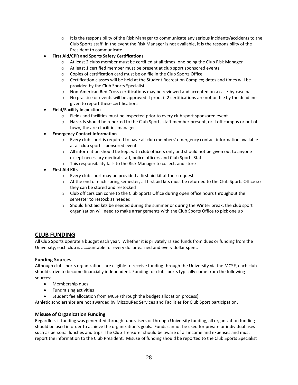- $\circ$  It is the responsibility of the Risk Manager to communicate any serious incidents/accidents to the Club Sports staff. In the event the Risk Manager is not available, it is the responsibility of the President to communicate.
- **First Aid/CPR and Sports Safety Certifications**
	- o At least 2 clubs member must be certified at all times; one being the Club Risk Manager
	- o At least 1 certified member must be present at club sport sponsored events
	- o Copies of certification card must be on file in the Club Sports Office
	- $\circ$  Certification classes will be held at the Student Recreation Complex; dates and times will be provided by the Club Sports Specialist
	- o Non-American Red Cross certifications may be reviewed and accepted on a case-by-case basis
	- $\circ$  No practice or events will be approved if proof if 2 certifications are not on file by the deadline given to report these certifications
- **Field/Facility Inspection**
	- $\circ$  Fields and facilities must be inspected prior to every club sport sponsored event
	- $\circ$  Hazards should be reported to the Club Sports staff member present, or if off campus or out of town, the area facilities manager

#### • **Emergency Contact Information**

- o Every club sport is required to have all club members' emergency contact information available at all club sports sponsored event
- $\circ$  All information should be kept with club officers only and should not be given out to anyone except necessary medical staff, police officers and Club Sports Staff
- o This responsibility falls to the Risk Manager to collect, and store
- **First Aid Kits**
	- o Every club sport may be provided a first aid kit at their request
	- o At the end of each spring semester, all first aid kits must be returned to the Club Sports Office so they can be stored and restocked
	- $\circ$  Club officers can come to the Club Sports Office during open office hours throughout the semester to restock as needed
	- $\circ$  Should first aid kits be needed during the summer or during the Winter break, the club sport organization will need to make arrangements with the Club Sports Office to pick one up

# <span id="page-27-0"></span>**CLUB FUNDING**

All Club Sports operate a budget each year. Whether it is privately raised funds from dues or funding from the University, each club is accountable for every dollar earned and every dollar spent.

#### **Funding Sources**

Although club sports organizations are eligible to receive funding through the University via the MCSF, each club should strive to become financially independent. Funding for club sports typically come from the following sources:

- Membership dues
- Fundraising activities
- Student fee allocation from MCSF (through the budget allocation process).

Athletic scholarships are not awarded by MizzouRec Services and Facilities for Club Sport participation.

#### **Misuse of Organization Funding**

Regardless if funding was generated through fundraisers or through University funding, all organization funding should be used in order to achieve the organization's goals. Funds cannot be used for private or individual uses such as personal lunches and trips. The Club Treasurer should be aware of all income and expenses and must report the information to the Club President. Misuse of funding should be reported to the Club Sports Specialist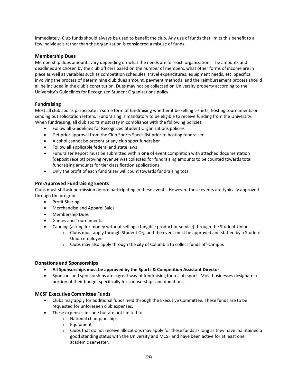immediately. Club funds should always be used to benefit the club. Any use of funds that limits this benefit to a few individuals rather than the organization is considered a misuse of funds.

#### **Membership Dues**

Membership dues amounts vary depending on what the needs are for each organization. The amounts and deadlines are chosen by the club officers based on the number of members, what other forms of income are in place as well as variables such as competition schedules, travel expenditures, equipment needs, etc. Specifics involving the process of determining club dues amount, payment methods, and the reimbursement process should all be included in the club's constitution. Dues may not be collected on University property according to the University's Guidelines for Recognized Student Organizations policy.

#### **Fundraising**

Most all club sports participate in some form of fundraising whether it be selling t-shirts, hosting tournaments or sending out solicitation letters. Fundraising is mandatory to be eligible to receive funding from the University. When fundraising, all club sports must stay in compliance with the following policies:

- Follow all Guidelines for Recognized Student Organizations policies
- Get prior approval from the Club Sports Specialist prior to hosting fundraiser
- Alcohol cannot be present at any club sport fundraiser
- Follow all applicable federal and state laws
- Fundraiser Report must be submitted within **one** of event completion with attached documentation (deposit receipt) proving revenue was collected for fundraising amounts to be counted towards total fundraising amounts for tier classification applications
- Only the profit of each fundraiser will count towards fundraising total

#### **Pre-Approved Fundraising Events**

Clubs must still ask permission before participating in these events. However, these events are typically approved through the program.

- Profit Sharing
- Merchandise and Apparel Sales
- Membership Dues
- Games and Tournaments
- Canning (asking for money without selling a tangible product or service) through the Student Union
	- $\circ$  Clubs must apply through Student Org and the event must be approved and staffed by a Student Union employee
	- $\circ$  Clubs may also apply through the city of Columbia to collect funds off-campus

#### **Donations and Sponsorships**

- **All Sponsorships must be approved by the Sports & Competition Assistant Director**
- Sponsors and sponsorships are a great way of fundraising for a club sport. Most businesses designate a portion of their budget specifically for sponsorships and donations.

#### **MCSF Executive Committee Funds**

- Clubs may apply for additional funds held through the Executive Committee. These funds are to be requested for unforeseen club expenses.
- These expenses include but are not limited to:
	- o National championships
	- o Equipment
	- $\circ$  Clubs that do not receive allocations may apply for these funds as long as they have maintained a good standing status with the University and MCSF and have been active for at least one academic semester.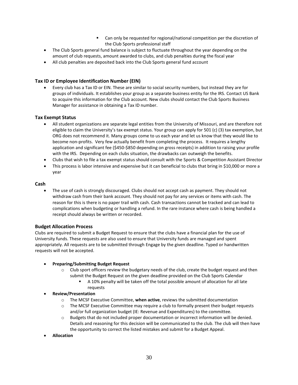- Can only be requested for regional/national competition per the discretion of the Club Sports professional staff
- The Club Sports general fund balance is subject to fluctuate throughout the year depending on the amount of club requests, amount awarded to clubs, and club penalties during the fiscal year
- All club penalties are deposited back into the Club Sports general fund account

#### **Tax ID or Employee Identification Number (EIN)**

• Every club has a Tax ID or EIN. These are similar to social security numbers, but instead they are for groups of individuals. It establishes your group as a separate business entity for the IRS. Contact US Bank to acquire this information for the Club account. New clubs should contact the Club Sports Business Manager for assistance in obtaining a Tax ID number.

#### **Tax Exempt Status**

- All student organizations are separate legal entities from the University of Missouri, and are therefore not eligible to claim the University's tax exempt status. Your group can apply for 501 (c) (3) tax exemption, but ORG does not recommend it. Many groups come to us each year and let us know that they would like to become non-profits. Very few actually benefit from completing the process. It requires a lengthy application and significant fee (\$450-\$850 depending on gross receipts) in addition to raising your profile with the IRS. Depending on each clubs situation, the drawbacks can outweigh the benefits.
- Clubs that wish to file a tax exempt status should consult with the Sports & Competition Assistant Director
- This process is labor intensive and expensive but it can beneficial to clubs that bring in \$10,000 or more a year

#### **Cash**

• The use of cash is strongly discouraged. Clubs should not accept cash as payment. They should not withdraw cash from their bank account. They should not pay for any services or items with cash. The reason for this is there is no paper trail with cash. Cash transactions cannot be tracked and can lead to complications when budgeting or handling a refund. In the rare instance where cash is being handled a receipt should always be written or recorded.

#### **Budget Allocation Process**

Clubs are required to submit a Budget Request to ensure that the clubs have a financial plan for the use of University funds. These requests are also used to ensure that University funds are managed and spent appropriately. All requests are to be submitted through Engage by the given deadline. Typed or handwritten requests will not be accepted.

#### • **Preparing/Submitting Budget Request**

- $\circ$  Club sport officers review the budgetary needs of the club, create the budget request and then submit the Budget Request on the given deadline provided on the Club Sports Calendar
	- A 10% penalty will be taken off the total possible amount of allocation for all late requests

#### • **Review/Presentation**

- o The MCSF Executive Committee, **when active**, reviews the submitted documentation
- $\circ$  The MCSF Executive Committee may require a club to formally present their budget requests and/or full organization budget (IE: Revenue and Expenditures) to the committee.
- o Budgets that do not included proper documentation or incorrect information will be denied. Details and reasoning for this decision will be communicated to the club. The club will then have the opportunity to correct the listed mistakes and submit for a Budget Appeal.
- **Allocation**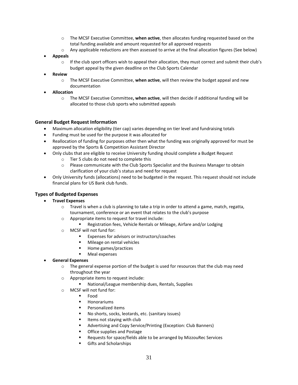- o The MCSF Executive Committee, **when active**, then allocates funding requested based on the total funding available and amount requested for all approved requests
- o Any applicable reductions are then assessed to arrive at the final allocation figures (See below)
- **Appeals**
	- $\circ$  If the club sport officers wish to appeal their allocation, they must correct and submit their club's budget appeal by the given deadline on the Club Sports Calendar
- **Review**
	- o The MCSF Executive Committee, **when active**, will then review the budget appeal and new documentation
- **Allocation**
	- o The MCSF Executive Committee**, when active**, will then decide if additional funding will be allocated to those club sports who submitted appeals

#### **General Budget Request Information**

- Maximum allocation eligibility (tier cap) varies depending on tier level and fundraising totals
- Funding must be used for the purpose it was allocated for
- Reallocation of funding for purposes other then what the funding was originally approved for must be approved by the Sports & Competition Assistant Director
- Only clubs that are eligible to receive University funding should complete a Budget Request
	- o Tier 5 clubs do not need to complete this
	- o Please communicate with the Club Sports Specialist and the Business Manager to obtain clarification of your club's status and need for request
- Only University funds (allocations) need to be budgeted in the request. This request should not include financial plans for US Bank club funds.

#### <span id="page-30-0"></span>**Types of Budgeted Expenses**

#### • **Travel Expenses**

- $\circ$  Travel is when a club is planning to take a trip in order to attend a game, match, regatta, tournament, conference or an event that relates to the club's purpose
- o Appropriate items to request for travel include:
	- Registration fees, Vehicle Rentals or Mileage, Airfare and/or Lodging
- o MCSF will not fund for:
	- Expenses for advisors or instructors/coaches
	- Mileage on rental vehicles
	- Home games/practices
	- **Meal expenses**
- **General Expenses**
	- $\circ$  The general expense portion of the budget is used for resources that the club may need throughout the year
	- o Appropriate items to request include:
		- National/League membership dues, Rentals, Supplies
	- o MCSF will not fund for:
		- Food
		- Honorariums
		- Personalized items
		- No shorts, socks, leotards, etc. (sanitary issues)
		- Items not staying with club
		- Advertising and Copy Service/Printing (Exception: Club Banners)
		- Office supplies and Postage
		- Requests for space/fields able to be arranged by MizzouRec Services
		- Gifts and Scholarships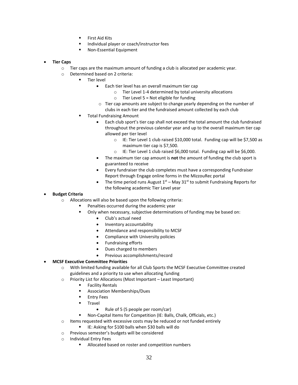- First Aid Kits
- Individual player or coach/instructor fees
- Non-Essential Equipment
- **Tier Caps**
	- $\circ$  Tier caps are the maximum amount of funding a club is allocated per academic year.
	- o Determined based on 2 criteria:
		- Tier level
			- Each tier level has an overall maximum tier cap
				- o Tier Level 1-4 determined by total university allocations
				- $\circ$  Tier Level 5 = Not eligible for funding
			- o Tier cap amounts are subject to change yearly depending on the number of clubs in each tier and the fundraised amount collected by each club
		- **Total Fundraising Amount** 
			- Each club sport's tier cap shall not exceed the total amount the club fundraised throughout the previous calendar year and up to the overall maximum tier cap allowed per tier level
				- o IE: Tier Level 1 club raised \$10,000 total. Funding cap will be \$7,500 as maximum tier cap is \$7,500.
				- o IE: Tier Level 1 club raised \$6,000 total. Funding cap will be \$6,000.
			- The maximum tier cap amount is **not** the amount of funding the club sport is guaranteed to receive
			- Every fundraiser the club completes must have a corresponding Fundraiser Report through Engage online forms in the MizzouRec portal
			- The time period runs August  $1<sup>st</sup>$  May 31<sup>st</sup> to submit Fundraising Reports for the following academic Tier Level year

#### • **Budget Criteria**

- o Allocations will also be based upon the following criteria:
	- Penalties occurred during the academic year
	- Only when necessary, subjective determinations of funding may be based on:
		- Club's actual need
		- Inventory accountability
		- Attendance and responsibility to MCSF
		- Compliance with University policies
		- Fundraising efforts
		- Dues charged to members
		- Previous accomplishments/record

#### • **MCSF Executive Committee Priorities**

o With limited funding available for all Club Sports the MCSF Executive Committee created guidelines and a priority to use when allocating funding

- o Priority List for Allocations (Most Important Least Important)
	- **Facility Rentals**
	- Association Memberships/Dues
	- Entry Fees
	- **Travel** 
		- Rule of 5 (5 people per room/car)
	- Non-Capital Items for Competition (IE: Balls, Chalk, Officials, etc.)
- o Items requested with excessive costs may be reduced or not funded entirely
- IE: Asking for \$100 balls when \$30 balls will do
- o Previous semester's budgets will be considered
- o Individual Entry Fees
	- Allocated based on roster and competition numbers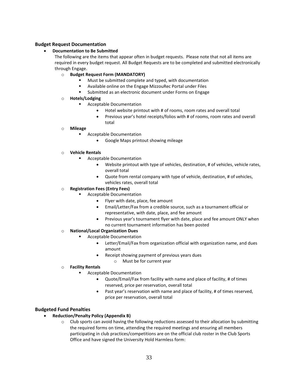#### <span id="page-32-0"></span>**Budget Request Documentation**

#### • **Documentation to Be Submitted**

The following are the items that appear often in budget requests. Please note that not all items are required in every budget request. All Budget Requests are to be completed and submitted electronically through Engage.

#### o **Budget Request Form (MANDATORY)**

- Must be submitted complete and typed, with documentation
- Available online on the Engage MizzouRec Portal under Files
- Submitted as an electronic document under Forms on Engage

#### o **Hotels/Lodging**

- **Acceptable Documentation** 
	- Hotel website printout with # of rooms, room rates and overall total
	- Previous year's hotel receipts/folios with # of rooms, room rates and overall total
- o **Mileage**
	- Acceptable Documentation
		- Google Maps printout showing mileage

#### o **Vehicle Rentals**

- Acceptable Documentation
	- Website printout with type of vehicles, destination, # of vehicles, vehicle rates, overall total
	- Quote from rental company with type of vehicle, destination, # of vehicles, vehicles rates, overall total

#### o **Registration Fees (Entry Fees)**

- **Acceptable Documentation** 
	- Flyer with date, place, fee amount
	- Email/Letter/Fax from a credible source, such as a tournament official or representative, with date, place, and fee amount
	- Previous year's tournament flyer with date, place and fee amount ONLY when no current tournament information has been posted
- o **National/Local Organization Dues**
	- **Acceptable Documentation** 
		- Letter/Email/Fax from organization official with organization name, and dues amount
		- Receipt showing payment of previous years dues
			- o Must be for current year

#### o **Facility Rentals**

- **Acceptable Documentation** 
	- Quote/Email/Fax from facility with name and place of facility, # of times reserved, price per reservation, overall total
	- Past year's reservation with name and place of facility, # of times reserved, price per reservation, overall total

#### <span id="page-32-1"></span>**Budgeted Fund Penalties**

- **Reduction/Penalty Policy (Appendix B)**
	- $\circ$  Club sports can avoid having the following reductions assessed to their allocation by submitting the required forms on time, attending the required meetings and ensuring all members participating in club practices/competitions are on the official club roster in the Club Sports Office and have signed the University Hold Harmless form: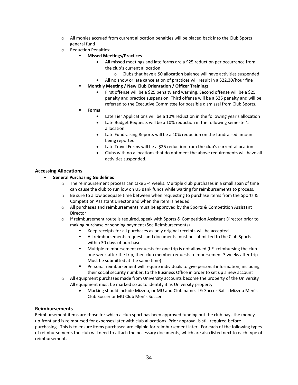- $\circ$  All monies accrued from current allocation penalties will be placed back into the Club Sports general fund
- o Reduction Penalties:
	- **Missed Meetings/Practices** 
		- All missed meetings and late forms are a \$25 reduction per occurrence from the club's current allocation
			- $\circ$  Clubs that have a \$0 allocation balance will have activities suspended
		- All no show or late cancelation of practices will result in a \$22.30/hour fine
	- **Monthly Meeting / New Club Orientation / Officer Trainings** 
		- First offense will be a \$25 penalty and warning. Second offense will be a \$25 penalty and practice suspension. Third offense will be a \$25 penalty and will be referred to the Executive Committee for possible dismissal from Club Sports.
	- **Forms**
		- Late Tier Applications will be a 10% reduction in the following year's allocation
		- Late Budget Requests will be a 10% reduction in the following semester's allocation
		- Late Fundraising Reports will be a 10% reduction on the fundraised amount being reported
		- Late Travel Forms will be a \$25 reduction from the club's current allocation
		- Clubs with no allocations that do not meet the above requirements will have all activities suspended.

#### **Accessing Allocations**

#### • **General Purchasing Guidelines**

- $\circ$  The reimbursement process can take 3-4 weeks. Multiple club purchases in a small span of time can cause the club to run low on US Bank funds while waiting for reimbursements to process.
- $\circ$  Be sure to allow adequate time between when requesting to purchase items from the Sports & Competition Assistant Director and when the item is needed
- $\circ$  All purchases and reimbursements must be approved by the Sports & Competition Assistant Director
- o If reimbursement route is required, speak with Sports & Competition Assistant Director prior to making purchase or sending payment (See Reimbursements)
	- Keep receipts for all purchases as only original receipts will be accepted
	- **.** All reimbursements requests and documents must be submitted to the Club Sports within 30 days of purchase
	- Multiple reimbursement requests for one trip is not allowed (I.E. reimbursing the club one week after the trip, then club member requests reimbursement 3 weeks after trip. Must be submitted at the same time)
	- **•** Personal reimbursement will require individuals to give personal information, including their social security number, to the Business Office in order to set up a new account
- o All equipment purchases made from University accounts become the property of the University All equipment must be marked so as to identify it as University property
	- Marking should include Mizzou, or MU and Club name. IE: Soccer Balls: Mizzou Men's Club Soccer or MU Club Men's Soccer

#### <span id="page-33-0"></span>**Reimbursements**

Reimbursement items are those for which a club sport has been approved funding but the club pays the money up-front and is reimbursed for expenses later with club allocations. Prior approval is still required before purchasing. This is to ensure items purchased are eligible for reimbursement later. For each of the following types of reimbursements the club will need to attach the necessary documents, which are also listed next to each type of reimbursement.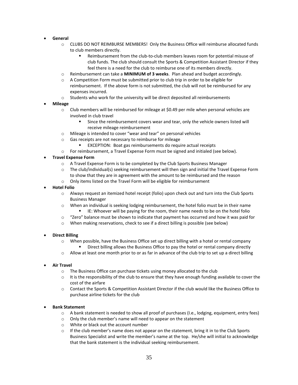#### • **General**

- o CLUBS DO NOT REIMBURSE MEMBERS! Only the Business Office will reimburse allocated funds to club members directly.
	- Reimbursement from the club-to-club members leaves room for potential misuse of club funds. The club should consult the Sports & Competition Assistant Director if they feel there is a need for the club to reimburse one of its members directly.
- o Reimbursement can take a **MINIMUM of 3 weeks**. Plan ahead and budget accordingly.
- $\circ$  A Competition Form must be submitted prior to club trip in order to be eligible for reimbursement. If the above form is not submitted, the club will not be reimbursed for any expenses incurred.
- $\circ$  Students who work for the university will be direct deposited all reimbursements
- **Mileage**
	- o Club members will be reimbursed for mileage at \$0.49 per mile when personal vehicles are involved in club travel
		- Since the reimbursement covers wear and tear, only the vehicle owners listed will receive mileage reimbursement
	- o Mileage is intended to cover "wear and tear" on personal vehicles
	- o Gas receipts are not necessary to reimburse for mileage
		- EXCEPTION: Boat gas reimbursements do require actual receipts
	- $\circ$  For reimbursement, a Travel Expense Form must be signed and initialed (see below).

#### • **Travel Expense Form**

- o A Travel Expense Form is to be completed by the Club Sports Business Manager
- $\circ$  The club/individual(s) seeking reimbursement will then sign and initial the Travel Expense Form to show that they are in agreement with the amount to be reimbursed and the reason
- o Only items listed on the Travel Form will be eligible for reimbursement
- **Hotel Folio**
	- $\circ$  Always request an itemized hotel receipt (folio) upon check out and turn into the Club Sports Business Manager
	- $\circ$  When an individual is seeking lodging reimbursement, the hotel folio must be in their name IE: Whoever will be paying for the room, their name needs to be on the hotel folio
	- $\circ$  "Zero" balance must be shown to indicate that payment has occurred and how it was paid for
	- $\circ$  When making reservations, check to see if a direct billing is possible (see below)

#### • **Direct Billing**

- $\circ$  When possible, have the Business Office set up direct billing with a hotel or rental company Direct billing allows the Business Office to pay the hotel or rental company directly
	-
- $\circ$  Allow at least one month prior to or as far in advance of the club trip to set up a direct billing
- **Air Travel**
	- $\circ$  The Business Office can purchase tickets using money allocated to the club
	- $\circ$  It is the responsibility of the club to ensure that they have enough funding available to cover the cost of the airfare
	- o Contact the Sports & Competition Assistant Director if the club would like the Business Office to purchase airline tickets for the club

#### • **Bank Statement**

- o A bank statement is needed to show all proof of purchases (I.e., lodging, equipment, entry fees)
- o Only the club member's name will need to appear on the statement
- o White or black out the account number
- $\circ$  If the club member's name does not appear on the statement, bring it in to the Club Sports Business Specialist and write the member's name at the top. He/she will initial to acknowledge that the bank statement is the individual seeking reimbursement.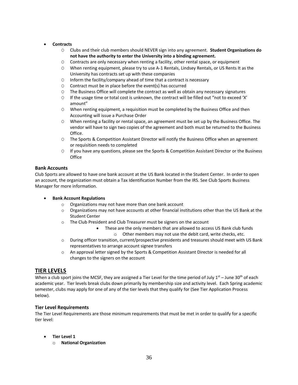#### • **Contracts**

- O Clubs and their club members should NEVER sign into any agreement. **Student Organizations do not have the authority to enter the University into a binding agreement.**
- O Contracts are only necessary when renting a facility, other rental space, or equipment
- O When renting equipment, please try to use A-1 Rentals, Lindsey Rentals, or US Rents It as the University has contracts set up with these companies
- O Inform the facility/company ahead of time that a contract is necessary
- O Contract must be in place before the event(s) has occurred
- O The Business Office will complete the contract as well as obtain any necessary signatures
- O If the usage time or total cost is unknown, the contract will be filled out "not to exceed 'X' amount"
- O When renting equipment, a requisition must be completed by the Business Office and then Accounting will issue a Purchase Order
- O When renting a facility or rental space, an agreement must be set up by the Business Office. The vendor will have to sign two copies of the agreement and both must be returned to the Business Office.
- O The Sports & Competition Assistant Director will notify the Business Office when an agreement or requisition needs to completed
- O If you have any questions, please see the Sports & Competition Assistant Director or the Business **Office**

#### <span id="page-35-0"></span>**Bank Accounts**

Club Sports are allowed to have one bank account at the US Bank located in the Student Center. In order to open an account, the organization must obtain a Tax Identification Number from the IRS. See Club Sports Business Manager for more information.

#### • **Bank Account Regulations**

- o Organizations may not have more than one bank account
- $\circ$  Organizations may not have accounts at other financial institutions other than the US Bank at the Student Center
- o The Club President and Club Treasurer must be signers on the account
	- These are the only members that are allowed to access US Bank club funds
		- o Other members may not use the debit card, write checks, etc.
- o During officer transition, current/prospective presidents and treasures should meet with US Bank representatives to arrange account signee transfers
- o An approval letter signed by the Sports & Competition Assistant Director is needed for all changes to the signers on the account

#### <span id="page-35-1"></span>**TIER LEVELS**

When a club sport joins the MCSF, they are assigned a Tier Level for the time period of July  $1^{st}$  – June 30<sup>th</sup> of each academic year. Tier levels break clubs down primarily by membership size and activity level. Each Spring academic semester, clubs may apply for one of any of the tier levels that they qualify for (See Tier Application Process below).

#### **Tier Level Requirements**

The Tier Level Requirements are those minimum requirements that must be met in order to qualify for a specific tier level:

- <span id="page-35-2"></span>• **Tier Level 1**
	- o **National Organization**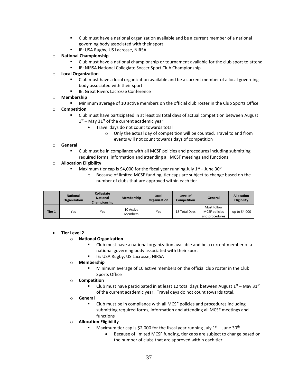- Club must have a national organization available and be a current member of a national governing body associated with their sport
- IE: USA Rugby, US Lacrosse, NIRSA
- o **National Championship**
	- Club must have a national championship or tournament available for the club sport to attend
	- IE: NIRSA National Collegiate Soccer Sport Club Championship
- o **Local Organization**
	- Club must have a local organization available and be a current member of a local governing body associated with their sport
	- IE: Great Rivers Lacrosse Conference

#### o **Membership**

■ Minimum average of 10 active members on the official club roster in the Club Sports Office

#### o **Competition**

- Club must have participated in at least 18 total days of actual competition between August  $1<sup>st</sup>$  – May 31<sup>st</sup> of the current academic year
	- Travel days do not count towards total
		- o Only the actual day of competition will be counted. Travel to and from events will not count towards days of competition

#### o **General**

Club must be in compliance with all MCSF policies and procedures including submitting required forms, information and attending all MCSF meetings and functions

#### o **Allocation Eligibility**

- Maximum tier cap is \$4,000 for the fiscal year running July  $1<sup>st</sup>$  June 30<sup>th</sup>
	- o Because of limited MCSF funding, tier caps are subject to change based on the number of clubs that are approved within each tier

|        | <b>National</b><br>Organization | Collegiate<br><b>National</b><br>Championship | <b>Membership</b>           | Local<br><b>Organization</b> | Level of<br><b>Competition</b> | General                                               | <b>Allocation</b><br>Eligibility |
|--------|---------------------------------|-----------------------------------------------|-----------------------------|------------------------------|--------------------------------|-------------------------------------------------------|----------------------------------|
| Tier 1 | Yes                             | Yes                                           | 10 Active<br><b>Members</b> | Yes                          | 18 Total Days                  | Must follow<br><b>MCSF</b> policies<br>and procedures | up to \$4,000                    |

#### <span id="page-36-0"></span>• **Tier Level 2**

#### o **National Organization**

- Club must have a national organization available and be a current member of a national governing body associated with their sport
- IE: USA Rugby, US Lacrosse, NIRSA

#### o **Membership**

Minimum average of 10 active members on the official club roster in the Club Sports Office

#### o **Competition**

- $\blacksquare$  Club must have participated in at least 12 total days between August 1st May 31st of the current academic year. Travel days do not count towards total.
- o **General**
	- Club must be in compliance with all MCSF policies and procedures including submitting required forms, information and attending all MCSF meetings and functions

#### o **Allocation Eligibility**

- Maximum tier cap is \$2,000 for the fiscal year running July  $1<sup>st</sup>$  June 30<sup>th</sup>
	- Because of limited MCSF funding, tier caps are subject to change based on the number of clubs that are approved within each tier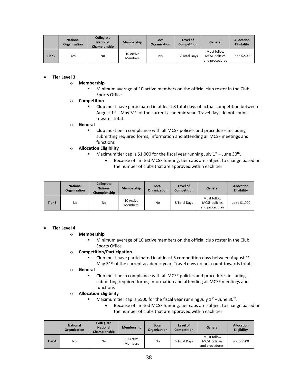|        | <b>National</b><br>Organization | Collegiate<br><b>National</b><br>Championship | Membership           | Local<br>Organization | Level of<br><b>Competition</b> | General                                               | <b>Allocation</b><br>Eligibility |
|--------|---------------------------------|-----------------------------------------------|----------------------|-----------------------|--------------------------------|-------------------------------------------------------|----------------------------------|
| Tier 2 | Yes                             | No                                            | 10 Active<br>Members | No                    | 12 Total Days                  | Must follow<br><b>MCSF</b> policies<br>and procedures | up to \$2,000                    |

#### <span id="page-37-0"></span>• **Tier Level 3**

#### o **Membership**

Minimum average of 10 active members on the official club roster in the Club Sports Office

#### o **Competition**

Club must have participated in at least 8 total days of actual competition between August  $1<sup>st</sup>$  – May 31<sup>st</sup> of the current academic year. Travel days do not count towards total.

#### o **General**

■ Club must be in compliance with all MCSF policies and procedures including submitting required forms, information and attending all MCSF meetings and functions

#### o **Allocation Eligibility**

- **■** Maximum tier cap is \$1,000 for the fiscal year running July  $1^{st}$  June 30<sup>th</sup>.
	- Because of limited MCSF funding, tier caps are subject to change based on the number of clubs that are approved within each tier

|        | <b>National</b><br>Organization | Collegiate<br><b>National</b><br>Championship | <b>Membership</b>           | Local<br>Organization | Level of<br>Competition | General                                               | <b>Allocation</b><br>Eligibility |
|--------|---------------------------------|-----------------------------------------------|-----------------------------|-----------------------|-------------------------|-------------------------------------------------------|----------------------------------|
| Tier 3 | No                              | No                                            | 10 Active<br><b>Members</b> | No                    | 8 Total Days            | Must follow<br><b>MCSF</b> policies<br>and procedures | up to \$1,000                    |

#### <span id="page-37-1"></span>• **Tier Level 4**

#### o **Membership**

■ Minimum average of 10 active members on the official club roster in the Club Sports Office

#### o **Competition/Participation**

**EXECULE MANUST LET** Club must have participated in at least 5 competition days between August  $1^{st}$  -May  $31^{st}$  of the current academic year. Travel days do not count towards total.

#### o **General**

■ Club must be in compliance with all MCSF policies and procedures including submitting required forms, information and attending all MCSF meetings and functions

#### o **Allocation Eligibility**

- **■** Maximum tier cap is \$500 for the fiscal year running July  $1^{st}$  June 30<sup>th</sup>.
	- Because of limited MCSF funding, tier caps are subject to change based on the number of clubs that are approved within each tier

|        | <b>National</b><br>Organization | Collegiate<br><b>National</b><br>Championship | Membership                  | Local<br>Organization | Level of<br>Competition | General                                                | <b>Allocation</b><br>Eligibility |
|--------|---------------------------------|-----------------------------------------------|-----------------------------|-----------------------|-------------------------|--------------------------------------------------------|----------------------------------|
| Tier 4 | No                              | No                                            | 10 Active<br><b>Members</b> | No                    | 5 Total Days            | Must follow<br><b>MCSF</b> policies<br>and procedures. | up to \$500                      |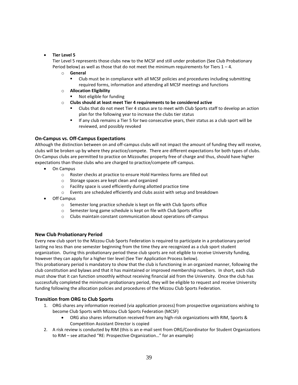#### <span id="page-38-0"></span>• **Tier Level 5**

Tier Level 5 represents those clubs new to the MCSF and still under probation (See Club Probationary Period below) as well as those that do not meet the minimum requirements for Tiers  $1 - 4$ .

- o **General**
	- Club must be in compliance with all MCSF policies and procedures including submitting required forms, information and attending all MCSF meetings and functions
- o **Allocation Eligibility**
	- Not eligible for funding
- o **Clubs should at least meet Tier 4 requirements to be considered active**
	- Clubs that do not meet Tier 4 status are to meet with Club Sports staff to develop an action plan for the following year to increase the clubs tier status
	- If any club remains a Tier 5 for two consecutive years, their status as a club sport will be reviewed, and possibly revoked

#### **On-Campus vs. Off-Campus Expectations**

Although the distinction between on and off-campus clubs will not impact the amount of funding they will receive, clubs will be broken up by where they practice/compete. There are different expectations for both types of clubs. On-Campus clubs are permitted to practice on MizzouRec property free of charge and thus, should have higher expectations than those clubs who are charged to practice/compete off-campus.

- On Campus
	- o Roster checks at practice to ensure Hold Harmless forms are filled out
	- o Storage spaces are kept clean and organized
	- o Facility space is used efficiently during allotted practice time
	- o Events are scheduled efficiently and clubs assist with setup and breakdown
- Off Campus
	- o Semester long practice schedule is kept on file with Club Sports office
	- o Semester long game schedule is kept on file with Club Sports office
	- o Clubs maintain constant communication about operations off-campus

#### **New Club Probationary Period**

Every new club sport to the Mizzou Club Sports Federation is required to participate in a probationary period lasting no less than one semester beginning from the time they are recognized as a club sport student organization. During this probationary period these club sports are not eligible to receive University funding, however they can apply for a higher tier level (See Tier Application Process below).

This probationary period is mandatory to show that the club is functioning in an organized manner, following the club constitution and bylaws and that it has maintained or improved membership numbers. In short, each club must show that it can function smoothly without receiving financial aid from the University. Once the club has successfully completed the minimum probationary period, they will be eligible to request and receive University funding following the allocation policies and procedures of the Mizzou Club Sports Federation.

#### <span id="page-38-1"></span>**Transition from ORG to Club Sports**

- 1. ORG shares any information received (via application process) from prospective organizations wishing to become Club Sports with Mizzou Club Sports Federation (MCSF)
	- ORG also shares information received from any high-risk organizations with RIM, Sports & Competition Assistant Director is copied
- 2. A risk review is conducted by RIM (this is an e-mail sent from ORG/Coordinator for Student Organizations to RIM – see attached "RE: Prospective Organization…" for an example)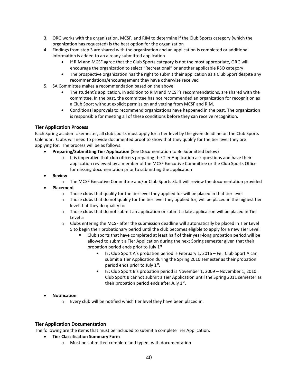- 3. ORG works with the organization, MCSF, and RIM to determine if the Club Sports category (which the organization has requested) is the best option for the organization
- 4. Findings from step 3 are shared with the organization and an application is completed or additional information is added to an already submitted application
	- If RIM and MCSF agree that the Club Sports category is not the most appropriate, ORG will encourage the organization to select "Recreational" or another applicable RSO category
	- The prospective organization has the right to submit their application as a Club Sport despite any recommendations/encouragement they have otherwise received
- 5. SA Committee makes a recommendation based on the above
	- The student's application, in addition to RIM and MCSF's recommendations, are shared with the committee. In the past, the committee has not recommended an organization for recognition as a Club Sport without explicit permission and vetting from MCSF and RIM.
	- Conditional approvals to recommend organizations have happened in the past. The organization is responsible for meeting all of these conditions before they can receive recognition.

#### <span id="page-39-0"></span>**Tier Application Process**

Each Spring academic semester, all club sports must apply for a tier level by the given deadline on the Club Sports Calendar. Clubs will need to provide documented proof to show that they qualify for the tier level they are applying for. The process will be as follows:

- **Preparing/Submitting Tier Application** (See Documentation to Be Submitted below)
	- $\circ$  It is imperative that club officers preparing the Tier Application ask questions and have their application reviewed by a member of the MCSF Executive Committee or the Club Sports Office for missing documentation prior to submitting the application
- **Review**
	- o The MCSF Executive Committee and/or Club Sports Staff will review the documentation provided
- **Placement**
	- $\circ$  Those clubs that qualify for the tier level they applied for will be placed in that tier level
	- $\circ$  Those clubs that do not qualify for the tier level they applied for, will be placed in the highest tier level that they do qualify for
	- $\circ$  Those clubs that do not submit an application or submit a late application will be placed in Tier Level 5
	- $\circ$  Clubs entering the MCSF after the submission deadline will automatically be placed in Tier Level 5 to begin their probationary period until the club becomes eligible to apply for a new Tier Level.
		- Club sports that have completed at least half of their year-long probation period will be allowed to submit a Tier Application during the next Spring semester given that their probation period ends prior to July  $1<sup>st</sup>$ 
			- IE: Club Sport A's probation period is February 1, 2016 Fe. Club Sport A can submit a Tier Application during the Spring 2010 semester as their probation period ends prior to July 1st.
			- IE: Club Sport B's probation period is November 1, 2009 November 1, 2010. Club Sport B cannot submit a Tier Application until the Spring 2011 semester as their probation period ends after July  $1<sup>st</sup>$ .

#### • **Notification**

o Every club will be notified which tier level they have been placed in.

#### <span id="page-39-1"></span>**Tier Application Documentation**

The following are the items that must be included to submit a complete Tier Application.

- **Tier Classification Summary Form**
	- o Must be submitted complete and typed, with documentation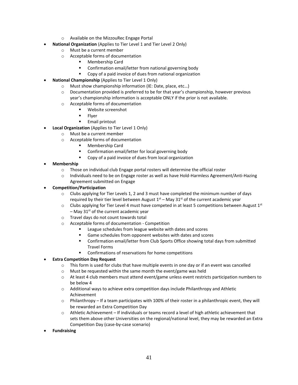- o Available on the MizzouRec Engage Portal
- **National Organization** (Applies to Tier Level 1 and Tier Level 2 Only)
	- o Must be a current member
	- o Acceptable forms of documentation
		- Membership Card
		- Confirmation email/letter from national governing body
		- Copy of a paid invoice of dues from national organization
- **National Championship** (Applies to Tier Level 1 Only)
	- o Must show championship information (IE: Date, place, etc…)
	- $\circ$  Documentation provided is preferred to be for that year's championship, however previous year's championship information is acceptable ONLY if the prior is not available.
	- o Acceptable forms of documentation
		- Website screenshot
		- **Flyer**
		- Email printout
	- **Local Organization** (Applies to Tier Level 1 Only)
		- o Must be a current member
			- o Acceptable forms of documentation
				- Membership Card
				- Confirmation email/letter for local governing body
				- Copy of a paid invoice of dues from local organization
- **Membership**
	- o Those on individual club Engage portal rosters will determine the official roster
	- $\circ$  Individuals need to be on Engage roster as well as have Hold-Harmless Agreement/Anti-Hazing Agreement submitted on Engage
- **Competition/Participation**
	- $\circ$  Clubs applying for Tier Levels 1, 2 and 3 must have completed the minimum number of days required by their tier level between August  $1^\text{st}$  – May 31 $^\text{st}$  of the current academic year
	- $\circ$  Clubs applying for Tier Level 4 must have competed in at least 5 competitions between August 1st  $-$  May 31<sup>st</sup> of the current academic year
	- o Travel days do not count towards total
	- o Acceptable forms of documentation Competition
		- League schedules from league website with dates and scores
		- Game schedules from opponent websites with dates and scores
		- Confirmation email/letter from Club Sports Office showing total days from submitted Travel Forms
		- Confirmations of reservations for home competitions

#### • **Extra Competition Day Request**

- $\circ$  This form is used for clubs that have multiple events in one day or if an event was cancelled
- o Must be requested within the same month the event/game was held
- $\circ$  At least 4 club members must attend event/game unless event restricts participation numbers to be below 4
- $\circ$  Additional ways to achieve extra competition days include Philanthropy and Athletic Achievement
- $\circ$  Philanthropy If a team participates with 100% of their roster in a philanthropic event, they will be rewarded an Extra Competition Day
- o Athletic Achievement If individuals or teams record a level of high athletic achievement that sets them above other Universities on the regional/national level, they may be rewarded an Extra Competition Day (case-by-case scenario)
- **Fundraising**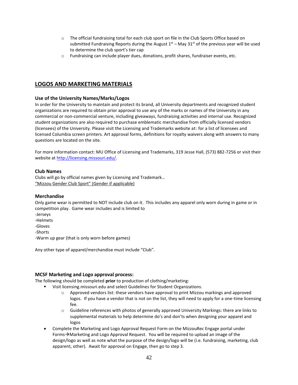- $\circ$  The official fundraising total for each club sport on file in the Club Sports Office based on submitted Fundraising Reports during the August  $1<sup>st</sup>$  – May 31<sup>st</sup> of the previous year will be used to determine the club sport's tier cap
- o Fundraising can include player dues, donations, profit shares, fundraiser events, etc.

# <span id="page-41-0"></span>**LOGOS AND MARKETING MATERIALS**

#### **Use of the University Names/Marks/Logos**

In order for the University to maintain and protect its brand, all University departments and recognized student organizations are required to obtain prior approval to use any of the marks or names of the University in any commercial or non-commercial venture, including giveaways, fundraising activities and internal use. Recognized student organizations are also required to purchase emblematic merchandise from officially licensed vendors (licensees) of the University. Please visit the Licensing and Trademarks website at: for a list of licensees and licensed Columbia screen printers. Art approval forms, definitions for royalty waivers along with answers to many questions are located on the site.

For more information contact: MU Office of Licensing and Trademarks, 319 Jesse Hall, (573) 882-7256 or visit their website a[t http://licensing.missouri.edu/.](http://licensing.missouri.edu/)

#### **Club Names**

Clubs will go by official names given by Licensing and Trademark… "Mizzou Gender Club Sport" (Gender if applicable)

#### **Merchandise**

Only game wear is permitted to NOT include club on it. This includes any apparel only worn during in game or in competition play. Game wear includes and is limited to

- -Jerseys
- -Helmets
- -Gloves

-Shorts

-Warm up gear (that is only worn before games)

Any other type of apparel/merchandise must include "Club".

#### **MCSF Marketing and Logo approval process:**

The following should be completed **prior** to production of clothing/marketing:

- Visit licensing.missouri.edu and select Guidelines for Student Organizations.
	- $\circ$  Approved vendors list: these vendors have approval to print Mizzou markings and approved logos. If you have a vendor that is not on the list, they will need to apply for a one-time licensing fee.
	- o Guideline references with photos of generally approved University Markings: there are links to supplemental materials to help determine do's and don'ts when designing your apparel and logos
- Complete the Marketing and Logo Approval Request Form on the MizzouRec Engage portal under Forms→Marketing and Logo Approval Request. You will be required to upload an image of the design/logo as well as note what the purpose of the design/logo will be (i.e. fundraising, marketing, club apparent, other). Await for approval on Engage, then go to step 3.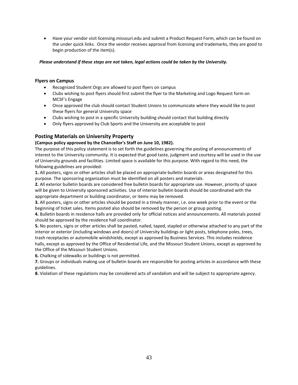• Have your vendor visit licensing.missouri.edu and submit a Product Request Form, which can be found on the under quick links. Once the vendor receives approval from licensing and trademarks, they are good to begin production of the item(s).

#### *Please understand if these steps are not taken, legal actions could be taken by the University.*

#### **Flyers on Campus**

- Recognized Student Orgs are allowed to post flyers on campus
- Clubs wishing to post flyers should first submit the flyer to the Marketing and Logo Request form on MCSF's Engage
- Once approved the club should contact Student Unions to communicate where they would like to post these flyers for general University space
- Clubs wishing to post in a specific University building should contact that building directly
- Only flyers approved by Club Sports and the University are acceptable to post

#### **Posting Materials on University Property**

#### **(Campus policy approved by the Chancellor's Staff on June 10, 1982).**

The purpose of this policy statement is to set forth the guidelines governing the posting of announcements of interest to the University community. It is expected that good taste, judgment and courtesy will be used in the use of University grounds and facilities. Limited space is available for this purpose. With regard to this need, the following guidelines are provided:

**1.** All posters, signs or other articles shall be placed on appropriate bulletin boards or areas designated for this purpose. The sponsoring organization must be identified on all posters and materials.

**2.** All exterior bulletin boards are considered free bulletin boards for appropriate use. However, priority of space will be given to University sponsored activities. Use of interior bulletin boards should be coordinated with the appropriate department or building coordinator, or items may be removed.

**3.** All posters, signs or other articles should be posted in a timely manner, i.e. one week prior to the event or the beginning of ticket sales. Items posted also should be removed by the person or group posting.

**4.** Bulletin boards in residence halls are provided only for official notices and announcements. All materials posted should be approved by the residence hall coordinator.

**5.** No posters, signs or other articles shall be pasted, nailed, taped, stapled or otherwise attached to any part of the interior or exterior (including windows and doors) of University buildings or light posts, telephone poles, trees, trash receptacles or automobile windshields, except as approved by Business Services. This includes residence halls, except as approved by the Office of Residential Life, and the Missouri Student Unions, except as approved by the Office of the Missouri Student Unions.

**6.** Chalking of sidewalks or buildings is not permitted.

**7.** Groups or individuals making use of bulletin boards are responsible for posting articles in accordance with these guidelines.

**8.** Violation of these regulations may be considered acts of vandalism and will be subject to appropriate agency.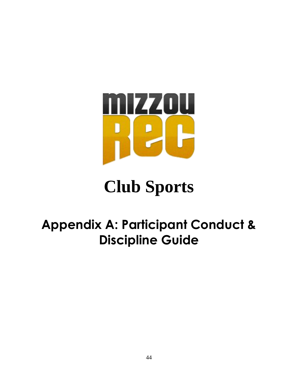

# **Club Sports**

# <span id="page-43-0"></span>**Appendix A: Participant Conduct & Discipline Guide**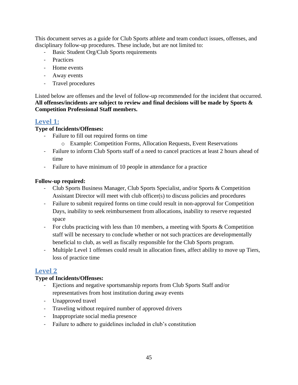This document serves as a guide for Club Sports athlete and team conduct issues, offenses, and disciplinary follow-up procedures. These include, but are not limited to:

- Basic Student Org/Club Sports requirements
- Practices
- Home events
- Away events
- Travel procedures

Listed below are offenses and the level of follow-up recommended for the incident that occurred. **All offenses/incidents are subject to review and final decisions will be made by Sports & Competition Professional Staff members.**

# <span id="page-44-0"></span>**Level 1:**

# **Type of Incidents/Offenses:**

- Failure to fill out required forms on time
	- o Example: Competition Forms, Allocation Requests, Event Reservations
- Failure to inform Club Sports staff of a need to cancel practices at least 2 hours ahead of time
- Failure to have minimum of 10 people in attendance for a practice

# **Follow-up required:**

- Club Sports Business Manager, Club Sports Specialist, and/or Sports & Competition Assistant Director will meet with club officer(s) to discuss policies and procedures
- Failure to submit required forms on time could result in non-approval for Competition Days, inability to seek reimbursement from allocations, inability to reserve requested space
- For clubs practicing with less than 10 members, a meeting with Sports  $&$  Competition staff will be necessary to conclude whether or not such practices are developmentally beneficial to club, as well as fiscally responsible for the Club Sports program.
- Multiple Level 1 offenses could result in allocation fines, affect ability to move up Tiers, loss of practice time

# <span id="page-44-1"></span>**Level 2**

# **Type of Incidents/Offenses:**

- Ejections and negative sportsmanship reports from Club Sports Staff and/or representatives from host institution during away events
- Unapproved travel
- Traveling without required number of approved drivers
- Inappropriate social media presence
- Failure to adhere to guidelines included in club's constitution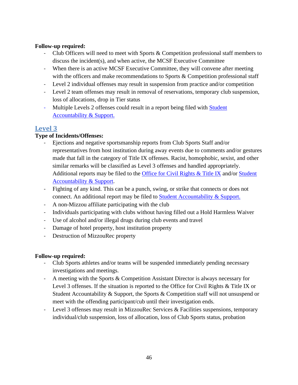# **Follow-up required:**

- Club Officers will need to meet with Sports & Competition professional staff members to discuss the incident(s), and when active, the MCSF Executive Committee
- When there is an active MCSF Executive Committee, they will convene after meeting with the officers and make recommendations to Sports & Competition professional staff
- Level 2 individual offenses may result in suspension from practice and/or competition
- Level 2 team offenses may result in removal of reservations, temporary club suspension, loss of allocations, drop in Tier status
- Multiple Levels 2 offenses could result in a report being filed with Student [Accountability & Support.](https://accountability.missouri.edu/)

# <span id="page-45-0"></span>**Level 3**

# **Type of Incidents/Offenses:**

- Ejections and negative sportsmanship reports from Club Sports Staff and/or representatives from host institution during away events due to comments and/or gestures made that fall in the category of Title IX offenses. Racist, homophobic, sexist, and other similar remarks will be classified as Level 3 offenses and handled appropriately. Additional reports may be filed to the [Office for Civil Rights & Title IX](https://civilrights.missouri.edu/) and/or Student [Accountability & Support.](https://accountability.missouri.edu/)
- Fighting of any kind. This can be a punch, swing, or strike that connects or does not connect. An additional report may be filed to **Student Accountability & Support.**
- A non-Mizzou affiliate participating with the club
- Individuals participating with clubs without having filled out a Hold Harmless Waiver
- Use of alcohol and/or illegal drugs during club events and travel
- Damage of hotel property, host institution property
- Destruction of MizzouRec property

# **Follow-up required:**

- Club Sports athletes and/or teams will be suspended immediately pending necessary investigations and meetings.
- A meeting with the Sports & Competition Assistant Director is always necessary for Level 3 offenses. If the situation is reported to the Office for Civil Rights & Title IX or Student Accountability & Support, the Sports & Competition staff will not unsuspend or meet with the offending participant/cub until their investigation ends.
- Level 3 offenses may result in MizzouRec Services & Facilities suspensions, temporary individual/club suspension, loss of allocation, loss of Club Sports status, probation